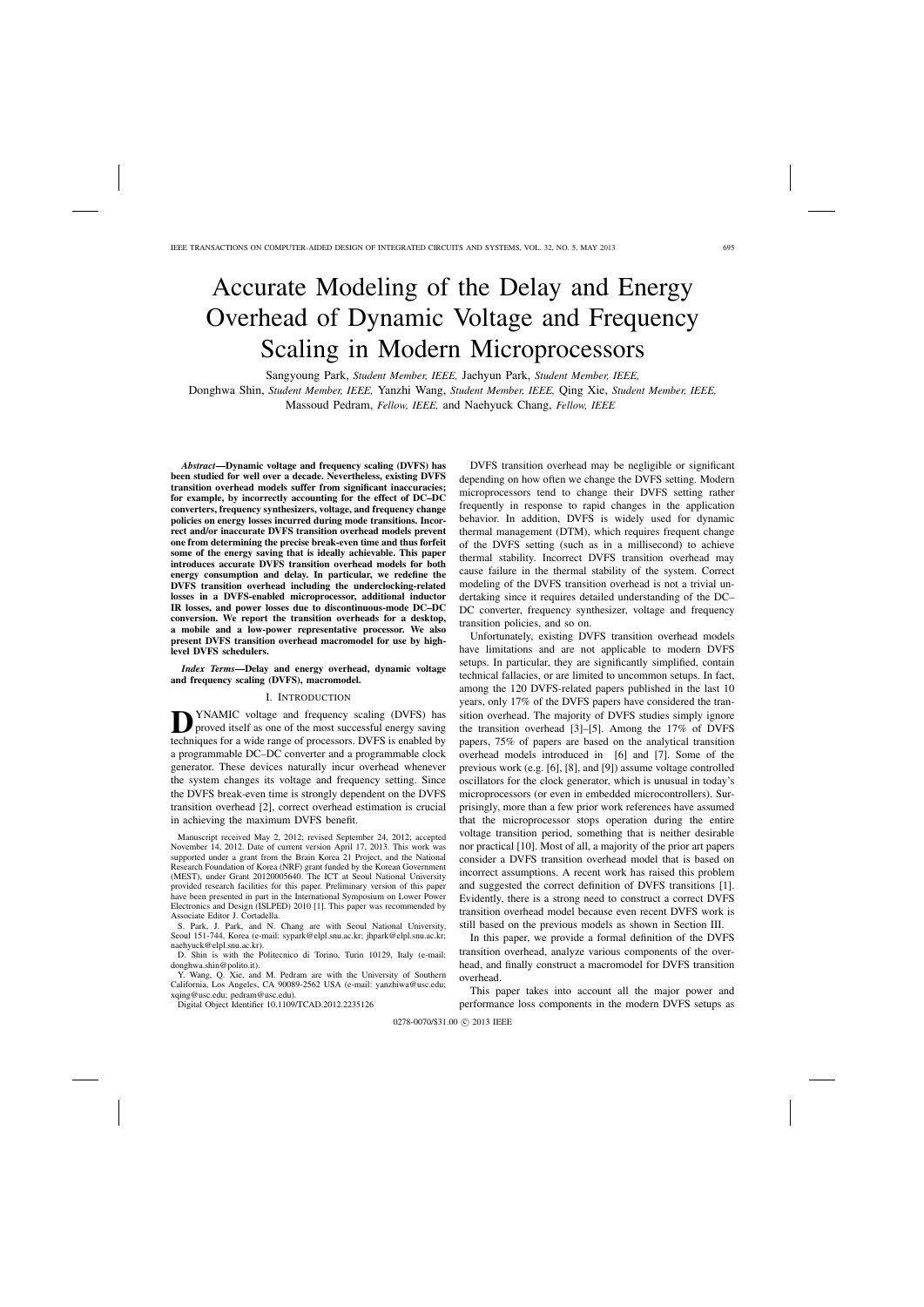# Accurate Modeling of the Delay and Energy Overhead of Dynamic Voltage and Frequency Scaling in Modern Microprocessors

Sangyoung Park, *Student Member, IEEE,* Jaehyun Park, *Student Member, IEEE,*

Donghwa Shin, *Student Member, IEEE,* Yanzhi Wang, *Student Member, IEEE,* Qing Xie, *Student Member, IEEE,* Massoud Pedram, *Fellow, IEEE,* and Naehyuck Chang, *Fellow, IEEE*

*Abstract***—Dynamic voltage and frequency scaling (DVFS) has been studied for well over a decade. Nevertheless, existing DVFS transition overhead models suffer from significant inaccuracies; for example, by incorrectly accounting for the effect of DC–DC converters, frequency synthesizers, voltage, and frequency change policies on energy losses incurred during mode transitions. Incorrect and/or inaccurate DVFS transition overhead models prevent one from determining the precise break-even time and thus forfeit some of the energy saving that is ideally achievable. This paper introduces accurate DVFS transition overhead models for both energy consumption and delay. In particular, we redefine the DVFS transition overhead including the underclocking-related losses in a DVFS-enabled microprocessor, additional inductor IR losses, and power losses due to discontinuous-mode DC–DC conversion. We report the transition overheads for a desktop, a mobile and a low-power representative processor. We also present DVFS transition overhead macromodel for use by highlevel DVFS schedulers.**

*Index Terms***—Delay and energy overhead, dynamic voltage and frequency scaling (DVFS), macromodel.**

## I. Introduction

**D**YNAMIC voltage and frequency scaling (DVFS) has proved itself as one of the most successful energy saving techniques for a wide range of processors. DVFS is enabled by a programmable DC–DC converter and a programmable clock generator. These devices naturally incur overhead whenever the system changes its voltage and frequency setting. Since the DVFS break-even time is strongly dependent on the DVFS transition overhead [2], correct overhead estimation is crucial in achieving the maximum DVFS benefit.

Manuscript received May 2, 2012; revised September 24, 2012; accepted November 14, 2012. Date of current version April 17, 2013. This work was supported under a grant from the Brain Korea 21 Project, and the National Research Foundation of Korea (NRF) grant funded by the Korean Government (MEST), under Grant 20120005640. The ICT at Seoul National University provided research facilities for this paper. Preliminary version of this paper have been presented in part in the International Symposium on Lower Power Electronics and Design (ISLPED) 2010 [1]. This paper was recommended by Associate Editor J. Cortadella.

S. Park, J. Park, and N. Chang are with Seoul National University, Seoul 151-744, Korea (e-mail: sypark@elpl.snu.ac.kr; jhpark@elpl.snu.ac.kr; naehyuck@elpl.snu.ac.kr).

D. Shin is with the Politecnico di Torino, Turin 10129, Italy (e-mail: donghwa.shin@polito.it).

Y. Wang, Q. Xie, and M. Pedram are with the University of Southern California, Los Angeles, CA 90089-2562 USA (e-mail: yanzhiwa@usc.edu; xqing@usc.edu; pedram@usc.edu).

Digital Object Identifier 10.1109/TCAD.2012.2235126

DVFS transition overhead may be negligible or significant depending on how often we change the DVFS setting. Modern microprocessors tend to change their DVFS setting rather frequently in response to rapid changes in the application behavior. In addition, DVFS is widely used for dynamic thermal management (DTM), which requires frequent change of the DVFS setting (such as in a millisecond) to achieve thermal stability. Incorrect DVFS transition overhead may cause failure in the thermal stability of the system. Correct modeling of the DVFS transition overhead is not a trivial undertaking since it requires detailed understanding of the DC– DC converter, frequency synthesizer, voltage and frequency transition policies, and so on.

Unfortunately, existing DVFS transition overhead models have limitations and are not applicable to modern DVFS setups. In particular, they are significantly simplified, contain technical fallacies, or are limited to uncommon setups. In fact, among the 120 DVFS-related papers published in the last 10 years, only 17% of the DVFS papers have considered the transition overhead. The majority of DVFS studies simply ignore the transition overhead [3]–[5]. Among the 17% of DVFS papers, 75% of papers are based on the analytical transition overhead models introduced in [6] and [7]. Some of the previous work (e.g. [6], [8], and [9]) assume voltage controlled oscillators for the clock generator, which is unusual in today's microprocessors (or even in embedded microcontrollers). Surprisingly, more than a few prior work references have assumed that the microprocessor stops operation during the entire voltage transition period, something that is neither desirable nor practical [10]. Most of all, a majority of the prior art papers consider a DVFS transition overhead model that is based on incorrect assumptions. A recent work has raised this problem and suggested the correct definition of DVFS transitions [1]. Evidently, there is a strong need to construct a correct DVFS transition overhead model because even recent DVFS work is still based on the previous models as shown in Section III.

In this paper, we provide a formal definition of the DVFS transition overhead, analyze various components of the overhead, and finally construct a macromodel for DVFS transition overhead.

This paper takes into account all the major power and performance loss components in the modern DVFS setups as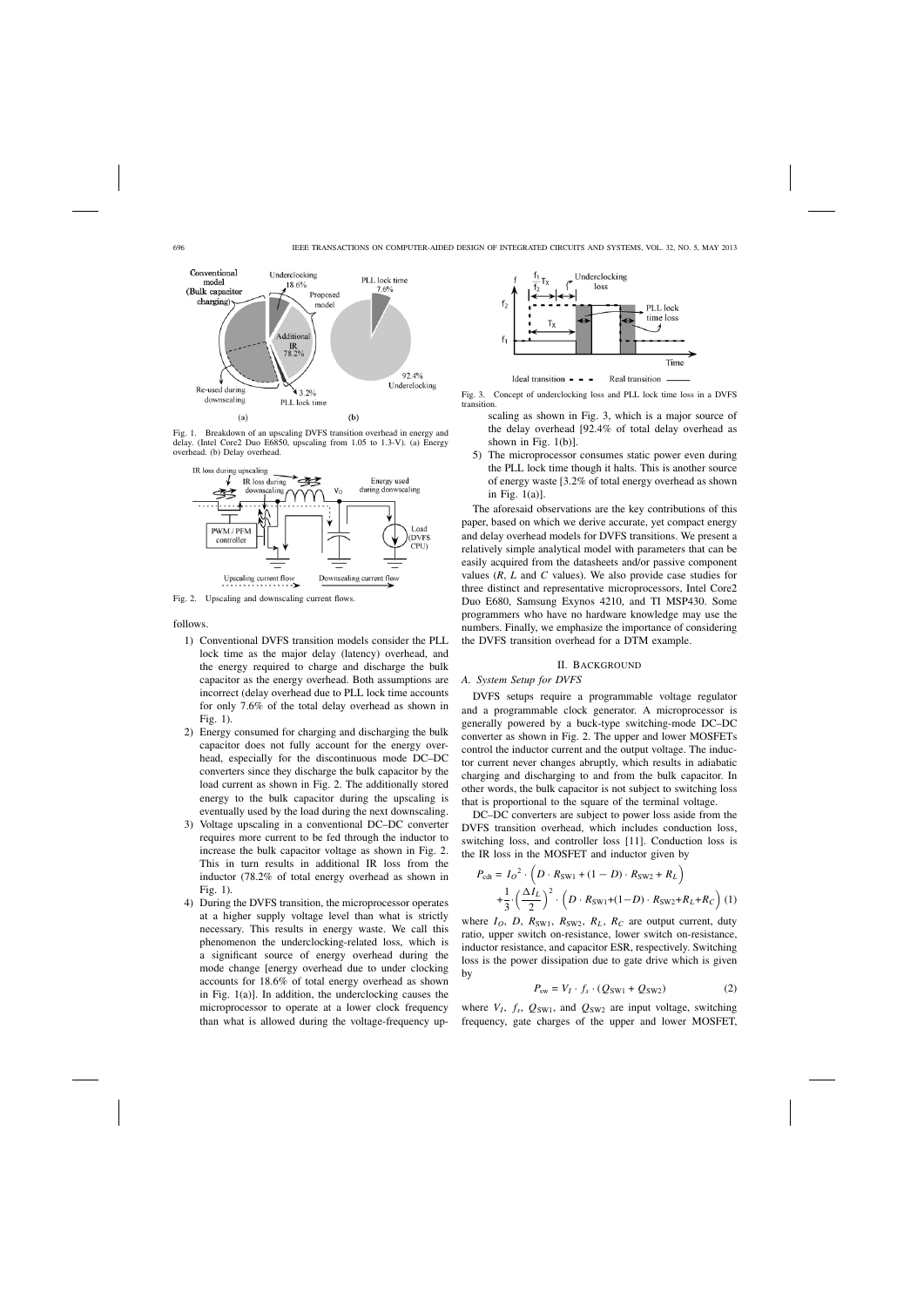

Fig. 1. Breakdown of an upscaling DVFS transition overhead in energy and delay. (Intel Core2 Duo E6850, upscaling from 1.05 to 1.3-V). (a) Energy overhead. (b) Delay overhead.



Fig. 2. Upscaling and downscaling current flows.

follows.

- 1) Conventional DVFS transition models consider the PLL lock time as the major delay (latency) overhead, and the energy required to charge and discharge the bulk capacitor as the energy overhead. Both assumptions are incorrect (delay overhead due to PLL lock time accounts for only 7.6% of the total delay overhead as shown in Fig. 1).
- 2) Energy consumed for charging and discharging the bulk capacitor does not fully account for the energy overhead, especially for the discontinuous mode DC–DC converters since they discharge the bulk capacitor by the load current as shown in Fig. 2. The additionally stored energy to the bulk capacitor during the upscaling is eventually used by the load during the next downscaling.
- 3) Voltage upscaling in a conventional DC–DC converter requires more current to be fed through the inductor to increase the bulk capacitor voltage as shown in Fig. 2. This in turn results in additional IR loss from the inductor (78.2% of total energy overhead as shown in Fig. 1).
- 4) During the DVFS transition, the microprocessor operates at a higher supply voltage level than what is strictly necessary. This results in energy waste. We call this phenomenon the underclocking-related loss, which is a significant source of energy overhead during the mode change [energy overhead due to under clocking accounts for 18.6% of total energy overhead as shown in Fig. 1(a)]. In addition, the underclocking causes the microprocessor to operate at a lower clock frequency than what is allowed during the voltage-frequency up-



Ideal transition  $- -$ Real transition

Fig. 3. Concept of underclocking loss and PLL lock time loss in a DVFS transition.

scaling as shown in Fig. 3, which is a major source of the delay overhead [92.4% of total delay overhead as shown in Fig. 1(b)].

5) The microprocessor consumes static power even during the PLL lock time though it halts. This is another source of energy waste [3.2% of total energy overhead as shown in Fig. 1(a)].

The aforesaid observations are the key contributions of this paper, based on which we derive accurate, yet compact energy and delay overhead models for DVFS transitions. We present a relatively simple analytical model with parameters that can be easily acquired from the datasheets and/or passive component values (*R*, *L* and *C* values). We also provide case studies for three distinct and representative microprocessors, Intel Core2 Duo E680, Samsung Exynos 4210, and TI MSP430. Some programmers who have no hardware knowledge may use the numbers. Finally, we emphasize the importance of considering the DVFS transition overhead for a DTM example.

# II. BACKGROUND

## *A. System Setup for DVFS*

DVFS setups require a programmable voltage regulator and a programmable clock generator. A microprocessor is generally powered by a buck-type switching-mode DC–DC converter as shown in Fig. 2. The upper and lower MOSFETs control the inductor current and the output voltage. The inductor current never changes abruptly, which results in adiabatic charging and discharging to and from the bulk capacitor. In other words, the bulk capacitor is not subject to switching loss that is proportional to the square of the terminal voltage.

DC–DC converters are subject to power loss aside from the DVFS transition overhead, which includes conduction loss, switching loss, and controller loss [11]. Conduction loss is the IR loss in the MOSFET and inductor given by

$$
P_{\text{cdt}} = I_0^2 \cdot \left( D \cdot R_{\text{SW1}} + (1 - D) \cdot R_{\text{SW2}} + R_L \right)
$$
  
+  $\frac{1}{3} \cdot \left( \frac{\Delta I_L}{2} \right)^2 \cdot \left( D \cdot R_{\text{SW1}} + (1 - D) \cdot R_{\text{SW2}} + R_L + R_C \right)$  (1)

where  $I_O$ ,  $D$ ,  $R_{SW1}$ ,  $R_{SW2}$ ,  $R_L$ ,  $R_C$  are output current, duty ratio, upper switch on-resistance, lower switch on-resistance, inductor resistance, and capacitor ESR, respectively. Switching loss is the power dissipation due to gate drive which is given by

$$
P_{\rm sw} = V_I \cdot f_s \cdot (Q_{\rm SW1} + Q_{\rm SW2}) \tag{2}
$$

where  $V_I$ ,  $f_s$ ,  $Q_{SW1}$ , and  $Q_{SW2}$  are input voltage, switching frequency, gate charges of the upper and lower MOSFET,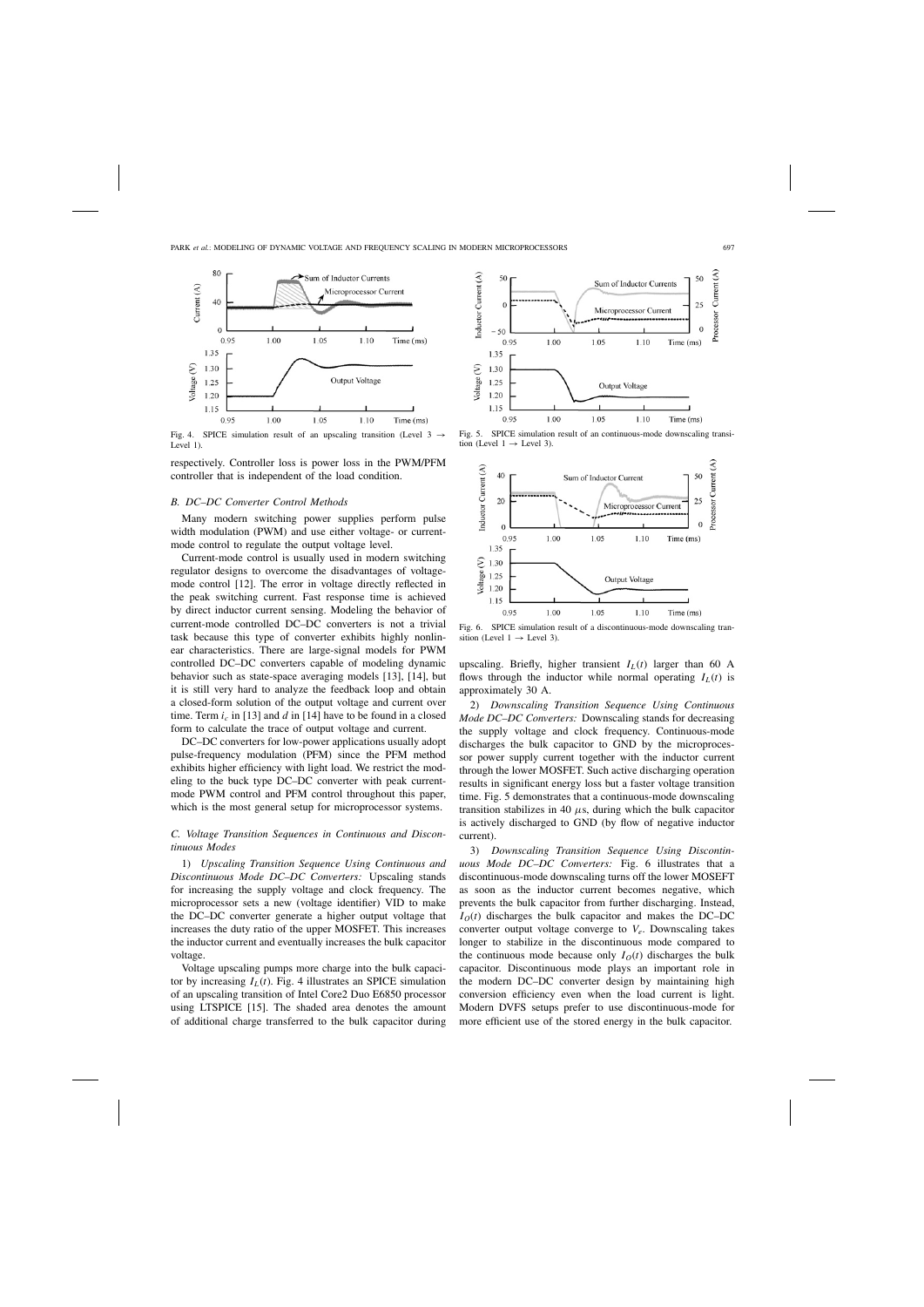

Fig. 4. SPICE simulation result of an upscaling transition (Level 3  $\rightarrow$ Level 1).

respectively. Controller loss is power loss in the PWM/PFM controller that is independent of the load condition.

#### *B. DC–DC Converter Control Methods*

Many modern switching power supplies perform pulse width modulation (PWM) and use either voltage- or currentmode control to regulate the output voltage level.

Current-mode control is usually used in modern switching regulator designs to overcome the disadvantages of voltagemode control [12]. The error in voltage directly reflected in the peak switching current. Fast response time is achieved by direct inductor current sensing. Modeling the behavior of current-mode controlled DC–DC converters is not a trivial task because this type of converter exhibits highly nonlinear characteristics. There are large-signal models for PWM controlled DC–DC converters capable of modeling dynamic behavior such as state-space averaging models [13], [14], but it is still very hard to analyze the feedback loop and obtain a closed-form solution of the output voltage and current over time. Term  $i_c$  in [13] and  $d$  in [14] have to be found in a closed form to calculate the trace of output voltage and current.

DC–DC converters for low-power applications usually adopt pulse-frequency modulation (PFM) since the PFM method exhibits higher efficiency with light load. We restrict the modeling to the buck type DC–DC converter with peak currentmode PWM control and PFM control throughout this paper, which is the most general setup for microprocessor systems.

# *C. Voltage Transition Sequences in Continuous and Discontinuous Modes*

1) *Upscaling Transition Sequence Using Continuous and Discontinuous Mode DC–DC Converters:* Upscaling stands for increasing the supply voltage and clock frequency. The microprocessor sets a new (voltage identifier) VID to make the DC–DC converter generate a higher output voltage that increases the duty ratio of the upper MOSFET. This increases the inductor current and eventually increases the bulk capacitor voltage.

Voltage upscaling pumps more charge into the bulk capacitor by increasing  $I_L(t)$ . Fig. 4 illustrates an SPICE simulation of an upscaling transition of Intel Core2 Duo E6850 processor using LTSPICE [15]. The shaded area denotes the amount of additional charge transferred to the bulk capacitor during



Fig. 5. SPICE simulation result of an continuous-mode downscaling transition (Level  $1 \rightarrow$  Level 3).



Fig. 6. SPICE simulation result of a discontinuous-mode downscaling transition (Level  $1 \rightarrow$  Level 3).

upscaling. Briefly, higher transient  $I_L(t)$  larger than 60 A flows through the inductor while normal operating  $I_L(t)$  is approximately 30 A.

2) *Downscaling Transition Sequence Using Continuous Mode DC–DC Converters:* Downscaling stands for decreasing the supply voltage and clock frequency. Continuous-mode discharges the bulk capacitor to GND by the microprocessor power supply current together with the inductor current through the lower MOSFET. Such active discharging operation results in significant energy loss but a faster voltage transition time. Fig. 5 demonstrates that a continuous-mode downscaling transition stabilizes in 40 *μ*s, during which the bulk capacitor is actively discharged to GND (by flow of negative inductor current).

3) *Downscaling Transition Sequence Using Discontinuous Mode DC–DC Converters:* Fig. 6 illustrates that a discontinuous-mode downscaling turns off the lower MOSEFT as soon as the inductor current becomes negative, which prevents the bulk capacitor from further discharging. Instead,  $I<sub>O</sub>(t)$  discharges the bulk capacitor and makes the DC–DC converter output voltage converge to *Ve*. Downscaling takes longer to stabilize in the discontinuous mode compared to the continuous mode because only  $I<sub>O</sub>(t)$  discharges the bulk capacitor. Discontinuous mode plays an important role in the modern DC–DC converter design by maintaining high conversion efficiency even when the load current is light. Modern DVFS setups prefer to use discontinuous-mode for more efficient use of the stored energy in the bulk capacitor.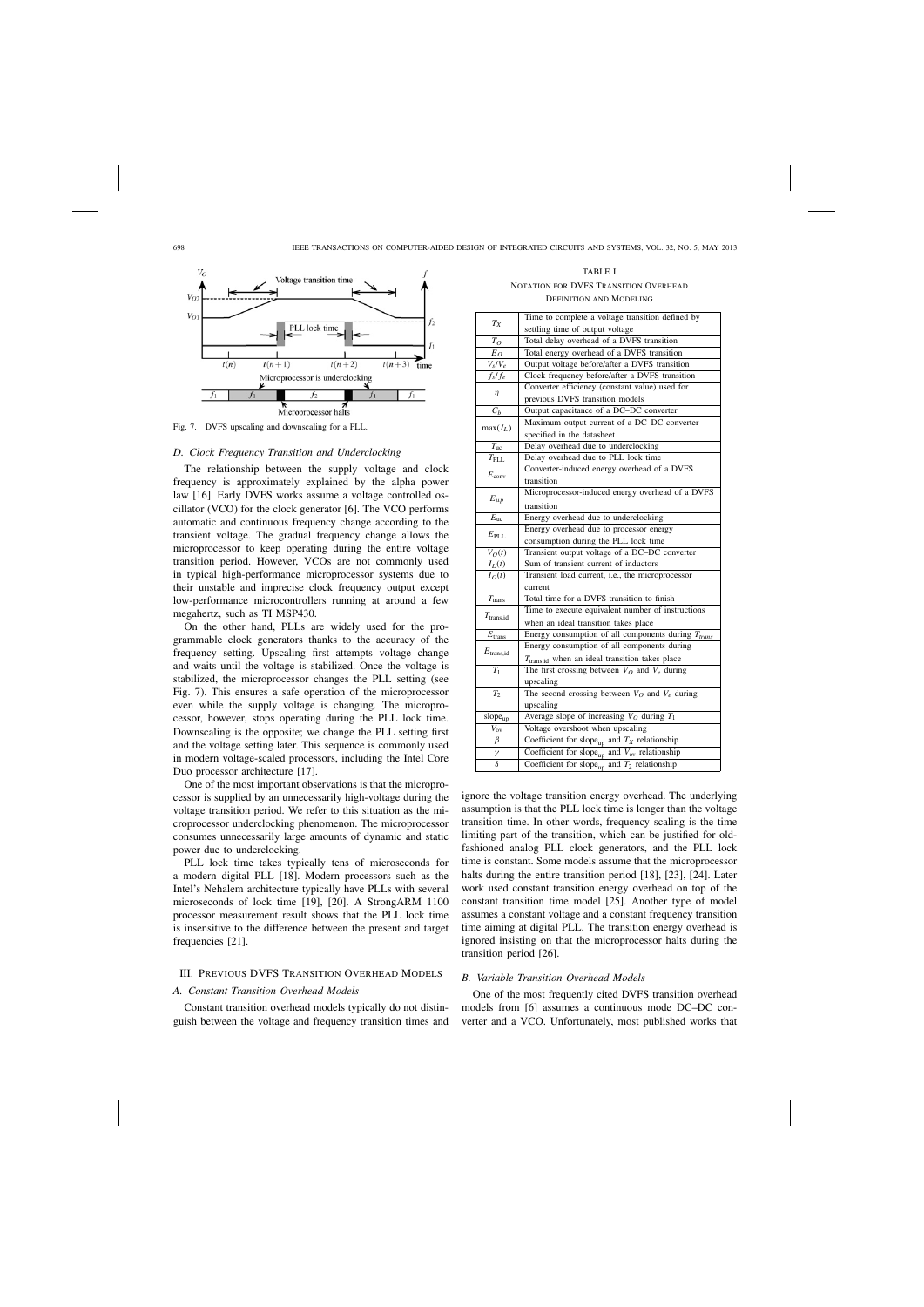

Fig. 7. DVFS upscaling and downscaling for a PLL.

#### *D. Clock Frequency Transition and Underclocking*

The relationship between the supply voltage and clock frequency is approximately explained by the alpha power law [16]. Early DVFS works assume a voltage controlled oscillator (VCO) for the clock generator [6]. The VCO performs automatic and continuous frequency change according to the transient voltage. The gradual frequency change allows the microprocessor to keep operating during the entire voltage transition period. However, VCOs are not commonly used in typical high-performance microprocessor systems due to their unstable and imprecise clock frequency output except low-performance microcontrollers running at around a few megahertz, such as TI MSP430.

On the other hand, PLLs are widely used for the programmable clock generators thanks to the accuracy of the frequency setting. Upscaling first attempts voltage change and waits until the voltage is stabilized. Once the voltage is stabilized, the microprocessor changes the PLL setting (see Fig. 7). This ensures a safe operation of the microprocessor even while the supply voltage is changing. The microprocessor, however, stops operating during the PLL lock time. Downscaling is the opposite; we change the PLL setting first and the voltage setting later. This sequence is commonly used in modern voltage-scaled processors, including the Intel Core Duo processor architecture [17].

One of the most important observations is that the microprocessor is supplied by an unnecessarily high-voltage during the voltage transition period. We refer to this situation as the microprocessor underclocking phenomenon. The microprocessor consumes unnecessarily large amounts of dynamic and static power due to underclocking.

PLL lock time takes typically tens of microseconds for a modern digital PLL [18]. Modern processors such as the Intel's Nehalem architecture typically have PLLs with several microseconds of lock time [19], [20]. A StrongARM 1100 processor measurement result shows that the PLL lock time is insensitive to the difference between the present and target frequencies [21].

## III. Previous DVFS Transition Overhead Models

#### *A. Constant Transition Overhead Models*

Constant transition overhead models typically do not distinguish between the voltage and frequency transition times and

TABLE I

Notation for DVFS Transition Overhead Definition and Modeling

| $T_X$               | Time to complete a voltage transition defined by                     |
|---------------------|----------------------------------------------------------------------|
|                     | settling time of output voltage                                      |
| T <sub>O</sub>      | Total delay overhead of a DVFS transition                            |
| $E_O$               | Total energy overhead of a DVFS transition                           |
| $V_s/V_e$           | Output voltage before/after a DVFS transition                        |
| $f_s/f_e$           | Clock frequency before/after a DVFS transition                       |
|                     | Converter efficiency (constant value) used for                       |
| $\eta$              | previous DVFS transition models                                      |
| $C_h$               | Output capacitance of a DC-DC converter                              |
| $max(I_L)$          | Maximum output current of a DC-DC converter                          |
|                     | specified in the datasheet                                           |
| $T_{\rm uc}$        | Delay overhead due to underclocking                                  |
| $T_{\rm{PLL}}$      | Delay overhead due to PLL lock time                                  |
| $E_{\rm conv}$      | Converter-induced energy overhead of a DVFS                          |
|                     | transition                                                           |
|                     | Microprocessor-induced energy overhead of a DVFS                     |
| $E_{\mu p}$         | transition                                                           |
| $E_{\text{uc}}$     | Energy overhead due to underclocking                                 |
|                     | Energy overhead due to processor energy                              |
| $E_{\rm{PLL}}$      | consumption during the PLL lock time                                 |
| $V_O(t)$            | Transient output voltage of a DC-DC converter                        |
| $I_L(t)$            | Sum of transient current of inductors                                |
| $I_O(t)$            | Transient load current, i.e., the microprocessor                     |
|                     | current                                                              |
| $T_{trans}$         | Total time for a DVFS transition to finish                           |
| $T_{trans,id}$      | Time to execute equivalent number of instructions                    |
|                     | when an ideal transition takes place                                 |
| $E_{trans}$         | Energy consumption of all components during $T_{trans}$              |
| $E_{trans,id}$      | Energy consumption of all components during                          |
|                     | $T_{trans_id}$ when an ideal transition takes place                  |
| $T_1$               | The first crossing between $V_O$ and $V_e$ during                    |
|                     | upscaling                                                            |
| $T_2$               | The second crossing between $V_O$ and $V_e$ during                   |
|                     | upscaling                                                            |
| slope <sub>up</sub> | Average slope of increasing $V_O$ during $T_1$                       |
| $V_{\rm ov}$        | Voltage overshoot when upscaling                                     |
| $\beta$             | Coefficient for slope <sub>up</sub> and $T_X$ relationship           |
| γ                   | Coefficient for slope <sub>up</sub> and $V_{\text{ov}}$ relationship |
| $\delta$            | Coefficient for slope <sub>up</sub> and $T_2$ relationship           |

ignore the voltage transition energy overhead. The underlying assumption is that the PLL lock time is longer than the voltage transition time. In other words, frequency scaling is the time limiting part of the transition, which can be justified for oldfashioned analog PLL clock generators, and the PLL lock time is constant. Some models assume that the microprocessor halts during the entire transition period [18], [23], [24]. Later work used constant transition energy overhead on top of the constant transition time model [25]. Another type of model assumes a constant voltage and a constant frequency transition time aiming at digital PLL. The transition energy overhead is ignored insisting on that the microprocessor halts during the transition period [26].

## *B. Variable Transition Overhead Models*

One of the most frequently cited DVFS transition overhead models from [6] assumes a continuous mode DC–DC converter and a VCO. Unfortunately, most published works that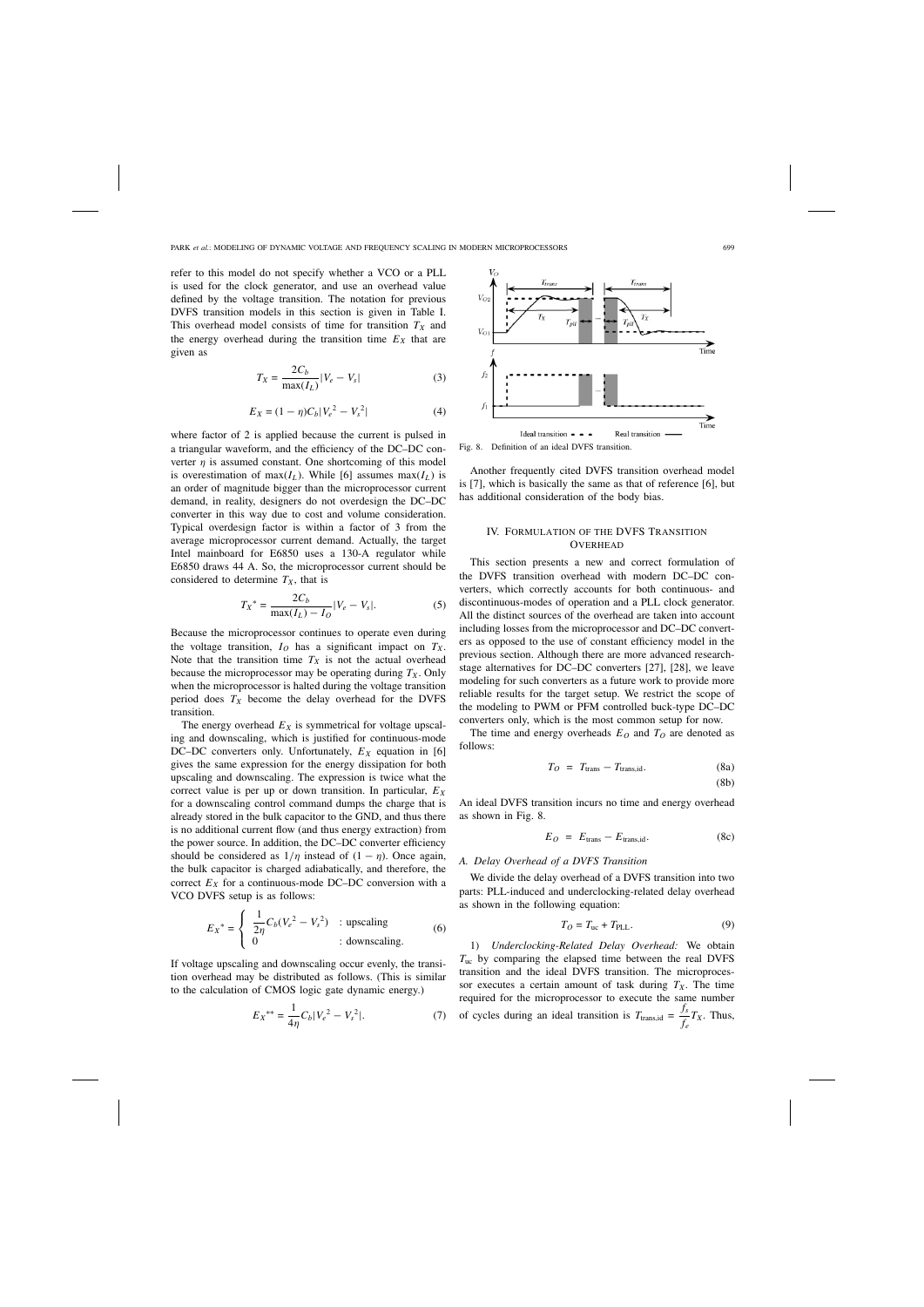refer to this model do not specify whether a VCO or a PLL is used for the clock generator, and use an overhead value defined by the voltage transition. The notation for previous DVFS transition models in this section is given in Table I. This overhead model consists of time for transition  $T_X$  and the energy overhead during the transition time  $E_X$  that are given as

$$
T_X = \frac{2C_b}{\max(I_L)} |V_e - V_s|
$$
 (3)

$$
E_X = (1 - \eta)C_b|V_e^2 - V_s^2|
$$
 (4)

where factor of 2 is applied because the current is pulsed in a triangular waveform, and the efficiency of the DC–DC converter  $\eta$  is assumed constant. One shortcoming of this model is overestimation of max $(I_L)$ . While [6] assumes max $(I_L)$  is an order of magnitude bigger than the microprocessor current demand, in reality, designers do not overdesign the DC–DC converter in this way due to cost and volume consideration. Typical overdesign factor is within a factor of 3 from the average microprocessor current demand. Actually, the target Intel mainboard for E6850 uses a 130-A regulator while E6850 draws 44 A. So, the microprocessor current should be considered to determine  $T_X$ , that is

$$
T_X^* = \frac{2C_b}{\max(I_L) - I_O} |V_e - V_s|.
$$
 (5)

Because the microprocessor continues to operate even during the voltage transition,  $I<sub>O</sub>$  has a significant impact on  $T<sub>X</sub>$ . Note that the transition time  $T_X$  is not the actual overhead because the microprocessor may be operating during  $T_X$ . Only when the microprocessor is halted during the voltage transition period does  $T_X$  become the delay overhead for the DVFS transition.

The energy overhead  $E<sub>X</sub>$  is symmetrical for voltage upscaling and downscaling, which is justified for continuous-mode DC–DC converters only. Unfortunately,  $E<sub>X</sub>$  equation in [6] gives the same expression for the energy dissipation for both upscaling and downscaling. The expression is twice what the correct value is per up or down transition. In particular,  $E_X$ for a downscaling control command dumps the charge that is already stored in the bulk capacitor to the GND, and thus there is no additional current flow (and thus energy extraction) from the power source. In addition, the DC–DC converter efficiency should be considered as  $1/\eta$  instead of  $(1 - \eta)$ . Once again, the bulk capacitor is charged adiabatically, and therefore, the correct  $E_X$  for a continuous-mode DC–DC conversion with a VCO DVFS setup is as follows:

$$
E_X^* = \begin{cases} \frac{1}{2\eta} C_b (V_e^2 - V_s^2) & : \text{upscaling} \\ 0 & : \text{downscaling.} \end{cases}
$$
 (6)

If voltage upscaling and downscaling occur evenly, the transition overhead may be distributed as follows. (This is similar to the calculation of CMOS logic gate dynamic energy.)

$$
E_X^{**} = \frac{1}{4\eta} C_b |V_e^2 - V_s^2|.
$$
 (7)



Fig. 8. Definition of an ideal DVFS transition.

Another frequently cited DVFS transition overhead model is [7], which is basically the same as that of reference [6], but has additional consideration of the body bias.

# IV. Formulation of the DVFS Transition **OVERHEAD**

This section presents a new and correct formulation of the DVFS transition overhead with modern DC–DC converters, which correctly accounts for both continuous- and discontinuous-modes of operation and a PLL clock generator. All the distinct sources of the overhead are taken into account including losses from the microprocessor and DC–DC converters as opposed to the use of constant efficiency model in the previous section. Although there are more advanced researchstage alternatives for DC–DC converters [27], [28], we leave modeling for such converters as a future work to provide more reliable results for the target setup. We restrict the scope of the modeling to PWM or PFM controlled buck-type DC–DC converters only, which is the most common setup for now.

The time and energy overheads  $E_O$  and  $T_O$  are denoted as follows:

$$
T_O = T_{trans} - T_{trans,id}.
$$
 (8a)

$$
(8b)
$$

An ideal DVFS transition incurs no time and energy overhead as shown in Fig. 8.

$$
E_O = E_{trans} - E_{trans,id}. \tag{8c}
$$

## *A. Delay Overhead of a DVFS Transition*

We divide the delay overhead of a DVFS transition into two parts: PLL-induced and underclocking-related delay overhead as shown in the following equation:

$$
T_O = T_{\text{uc}} + T_{\text{PLL}}.\tag{9}
$$

1) *Underclocking-Related Delay Overhead:* We obtain *T*uc by comparing the elapsed time between the real DVFS transition and the ideal DVFS transition. The microprocessor executes a certain amount of task during  $T_X$ . The time required for the microprocessor to execute the same number of cycles during an ideal transition is  $T_{trans,id} = \frac{f_s}{f_e} T_X$ . Thus,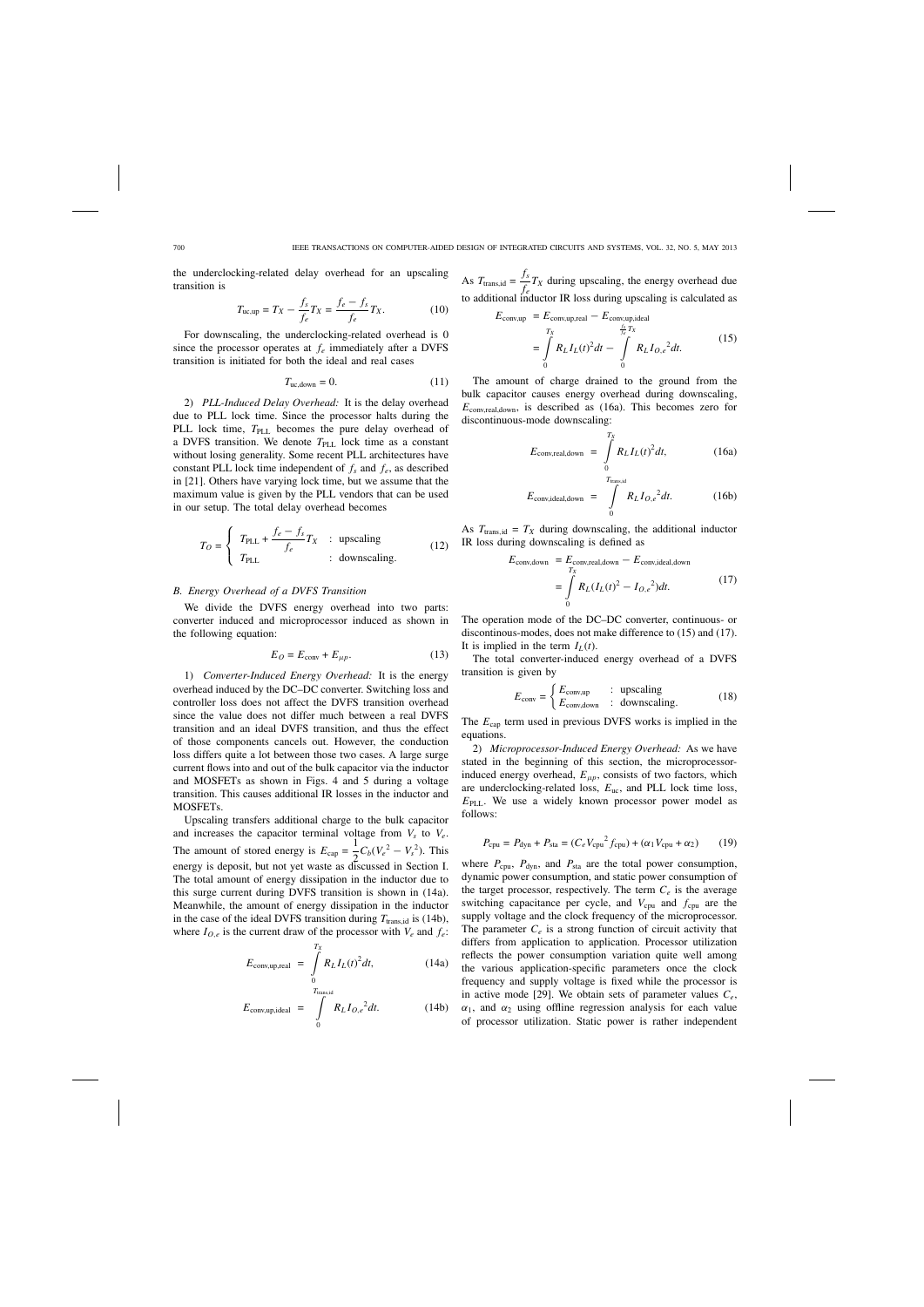the underclocking-related delay overhead for an upscaling transition is

$$
T_{\text{uc,up}} = T_X - \frac{f_s}{f_e} T_X = \frac{f_e - f_s}{f_e} T_X. \tag{10}
$$

For downscaling, the underclocking-related overhead is 0 since the processor operates at *fe* immediately after a DVFS transition is initiated for both the ideal and real cases

$$
T_{\text{uc,down}} = 0. \tag{11}
$$

2) *PLL-Induced Delay Overhead:* It is the delay overhead due to PLL lock time. Since the processor halts during the PLL lock time,  $T_{\text{PLL}}$  becomes the pure delay overhead of a DVFS transition. We denote  $T_{\text{PLL}}$  lock time as a constant without losing generality. Some recent PLL architectures have constant PLL lock time independent of  $f_s$  and  $f_e$ , as described in [21]. Others have varying lock time, but we assume that the maximum value is given by the PLL vendors that can be used in our setup. The total delay overhead becomes

$$
T_O = \begin{cases} T_{\text{PLL}} + \frac{f_e - f_s}{f_e} T_X & : \text{ upscaling} \\ T_{\text{PLL}} & : \text{downscaling.} \end{cases}
$$
 (12)

#### *B. Energy Overhead of a DVFS Transition*

We divide the DVFS energy overhead into two parts: converter induced and microprocessor induced as shown in the following equation:

$$
E_O = E_{\text{conv}} + E_{\mu p}.\tag{13}
$$

1) *Converter-Induced Energy Overhead:* It is the energy overhead induced by the DC–DC converter. Switching loss and controller loss does not affect the DVFS transition overhead since the value does not differ much between a real DVFS transition and an ideal DVFS transition, and thus the effect of those components cancels out. However, the conduction loss differs quite a lot between those two cases. A large surge current flows into and out of the bulk capacitor via the inductor and MOSFETs as shown in Figs. 4 and 5 during a voltage transition. This causes additional IR losses in the inductor and MOSFETs.

Upscaling transfers additional charge to the bulk capacitor and increases the capacitor terminal voltage from  $V_s$  to  $V_e$ . The amount of stored energy is  $E_{\text{cap}} = \frac{1}{2} C_b (V_e^2 - V_s^2)$ . This energy is deposit, but not yet waste as discussed in Section I. The total amount of energy dissipation in the inductor due to this surge current during DVFS transition is shown in (14a). Meanwhile, the amount of energy dissipation in the inductor in the case of the ideal DVFS transition during  $T_{trans,id}$  is (14b), where  $I_{O,e}$  is the current draw of the processor with  $V_e$  and  $f_e$ :

$$
E_{\text{conv,up,real}} = \int_{0}^{T_X} R_L I_L(t)^2 dt, \qquad (14a)
$$

$$
E_{\text{conv,up,ideal}} = \int_{0}^{T_{\text{trans,id}}} R_L I_{O,e}^2 dt. \tag{14b}
$$

As  $T_{\text{trans},id} = \frac{f_s}{f_e} T_X$  during upscaling, the energy overhead due to additional inductor IR loss during upscaling is calculated as

$$
E_{\text{conv,up}} = E_{\text{conv,up,real}} - E_{\text{conv,up,ideal}}
$$
  
= 
$$
\int_{0}^{T_X} R_L I_L(t)^2 dt - \int_{0}^{\frac{f_S}{f_c} T_X} R_L I_{O,e}^2 dt.
$$
 (15)

The amount of charge drained to the ground from the bulk capacitor causes energy overhead during downscaling, *E*conv,real,down, is described as (16a). This becomes zero for discontinuous-mode downscaling:

$$
E_{\text{conv,real,down}} = \int_{0}^{T_X} R_L I_L(t)^2 dt, \qquad (16a)
$$

$$
E_{\text{conv,ideal,down}} = \int_{0}^{T_{\text{trans,id}}} R_L I_{O,e}^2 dt. \tag{16b}
$$

As  $T_{trans,id} = T_X$  during downscaling, the additional inductor IR loss during downscaling is defined as

$$
E_{\text{conv,down}} = E_{\text{conv,real,down}} - E_{\text{conv,ideal,down}}
$$
  
= 
$$
\int_{0}^{T_X} R_L(I_L(t)^2 - I_{O,e}^2) dt.
$$
 (17)

The operation mode of the DC–DC converter, continuous- or discontinous-modes, does not make difference to (15) and (17). It is implied in the term  $I_L(t)$ .

The total converter-induced energy overhead of a DVFS transition is given by

$$
E_{\text{conv}} = \begin{cases} E_{\text{conv,up}} & : \text{upscaling} \\ E_{\text{conv,down}} & : \text{downscaling.} \end{cases}
$$
 (18)

The *E*cap term used in previous DVFS works is implied in the equations.

2) *Microprocessor-Induced Energy Overhead:* As we have stated in the beginning of this section, the microprocessorinduced energy overhead,  $E_{\mu p}$ , consists of two factors, which are underclocking-related loss, *E*uc, and PLL lock time loss, *E*PLL. We use a widely known processor power model as follows:

$$
P_{\text{cpu}} = P_{\text{dyn}} + P_{\text{sta}} = (C_e V_{\text{cpu}}^2 f_{\text{cpu}}) + (\alpha_1 V_{\text{cpu}} + \alpha_2) \tag{19}
$$

where  $P_{\text{cpu}}$ ,  $P_{\text{dyn}}$ , and  $P_{\text{sta}}$  are the total power consumption, dynamic power consumption, and static power consumption of the target processor, respectively. The term  $C_e$  is the average switching capacitance per cycle, and  $V_{\text{cpu}}$  and  $f_{\text{cpu}}$  are the supply voltage and the clock frequency of the microprocessor. The parameter  $C_e$  is a strong function of circuit activity that differs from application to application. Processor utilization reflects the power consumption variation quite well among the various application-specific parameters once the clock frequency and supply voltage is fixed while the processor is in active mode [29]. We obtain sets of parameter values  $C_e$ ,  $\alpha_1$ , and  $\alpha_2$  using offline regression analysis for each value of processor utilization. Static power is rather independent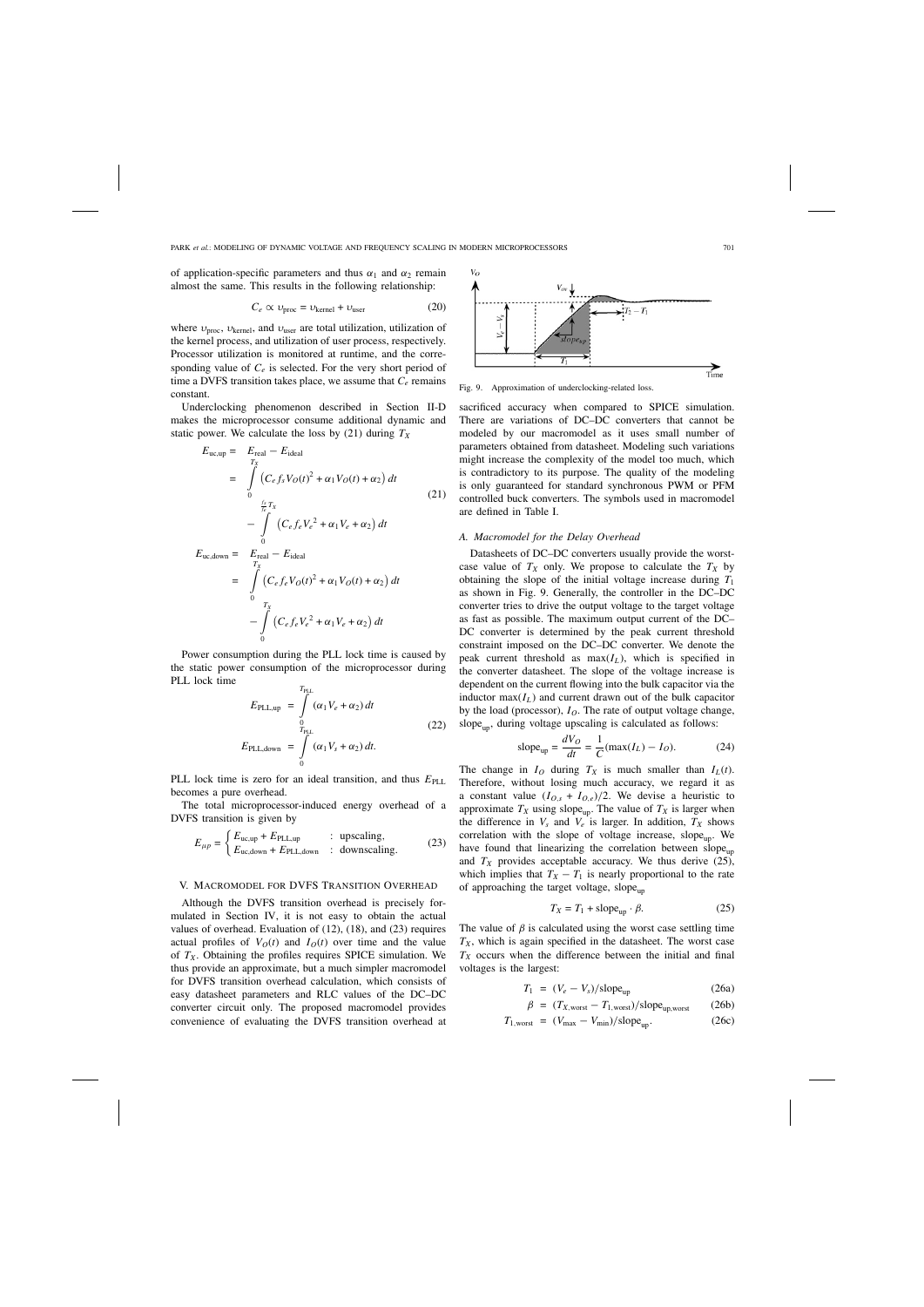of application-specific parameters and thus  $\alpha_1$  and  $\alpha_2$  remain almost the same. This results in the following relationship:

$$
C_e \propto \nu_{\text{proc}} = \nu_{\text{kernel}} + \nu_{\text{user}} \tag{20}
$$

where *υ*proc, *υ*kernel, and *υ*user are total utilization, utilization of the kernel process, and utilization of user process, respectively. Processor utilization is monitored at runtime, and the corresponding value of  $C_e$  is selected. For the very short period of time a DVFS transition takes place, we assume that  $C_e$  remains constant.

Underclocking phenomenon described in Section II-D makes the microprocessor consume additional dynamic and static power. We calculate the loss by  $(21)$  during  $T_X$ 

$$
E_{\text{uc,up}} = E_{\text{real}} - E_{\text{ideal}}
$$
  
\n
$$
= \int_{0}^{T_X} (C_e f_s V_O(t)^2 + \alpha_1 V_O(t) + \alpha_2) dt
$$
  
\n
$$
- \int_{0}^{\frac{f_s}{f_c} T_X} (C_e f_e V_e^2 + \alpha_1 V_e + \alpha_2) dt
$$
  
\n
$$
E_{\text{uc,down}} = E_{\text{real}} - E_{\text{ideal}}
$$
  
\n
$$
= \int_{0}^{T_X} (C_e f_e V_O(t)^2 + \alpha_1 V_O(t) + \alpha_2) dt
$$
  
\n
$$
- \int_{0}^{T_X} (C_e f_e V_e^2 + \alpha_1 V_e + \alpha_2) dt
$$

Power consumption during the PLL lock time is caused by the static power consumption of the microprocessor during PLL lock time

$$
E_{\text{PLL,up}} = \int_{0}^{T_{\text{PLL}}} (\alpha_1 V_e + \alpha_2) dt
$$
  
\n
$$
E_{\text{PLL,down}} = \int_{0}^{T_{\text{PLL}}} (\alpha_1 V_s + \alpha_2) dt.
$$
 (22)

PLL lock time is zero for an ideal transition, and thus  $E_{\text{PL}}$ becomes a pure overhead.

The total microprocessor-induced energy overhead of a DVFS transition is given by

$$
E_{\mu p} = \begin{cases} E_{\text{uc,up}} + E_{\text{PLL,up}} & \text{: upscaling,} \\ E_{\text{uc,down}} + E_{\text{PLL,down}} & \text{: downscaling.} \end{cases} \tag{23}
$$

## V. Macromodel for DVFS Transition Overhead

Although the DVFS transition overhead is precisely formulated in Section IV, it is not easy to obtain the actual values of overhead. Evaluation of (12), (18), and (23) requires actual profiles of  $V<sub>O</sub>(t)$  and  $I<sub>O</sub>(t)$  over time and the value of  $T_X$ . Obtaining the profiles requires SPICE simulation. We thus provide an approximate, but a much simpler macromodel for DVFS transition overhead calculation, which consists of easy datasheet parameters and RLC values of the DC–DC converter circuit only. The proposed macromodel provides convenience of evaluating the DVFS transition overhead at



Fig. 9. Approximation of underclocking-related loss.

sacrificed accuracy when compared to SPICE simulation. There are variations of DC–DC converters that cannot be modeled by our macromodel as it uses small number of parameters obtained from datasheet. Modeling such variations might increase the complexity of the model too much, which is contradictory to its purpose. The quality of the modeling is only guaranteed for standard synchronous PWM or PFM controlled buck converters. The symbols used in macromodel are defined in Table I.

## *A. Macromodel for the Delay Overhead*

Datasheets of DC–DC converters usually provide the worstcase value of  $T_X$  only. We propose to calculate the  $T_X$  by obtaining the slope of the initial voltage increase during *T*<sup>1</sup> as shown in Fig. 9. Generally, the controller in the DC–DC converter tries to drive the output voltage to the target voltage as fast as possible. The maximum output current of the DC– DC converter is determined by the peak current threshold constraint imposed on the DC–DC converter. We denote the peak current threshold as  $max(I_L)$ , which is specified in the converter datasheet. The slope of the voltage increase is dependent on the current flowing into the bulk capacitor via the inductor  $max(I_L)$  and current drawn out of the bulk capacitor by the load (processor),  $I<sub>O</sub>$ . The rate of output voltage change, slope $_{\text{un}}$ , during voltage upscaling is calculated as follows:

slope<sub>up</sub> = 
$$
\frac{dV_O}{dt} = \frac{1}{C}(\max(I_L) - I_O).
$$
 (24)

The change in  $I_O$  during  $T_X$  is much smaller than  $I_L(t)$ . Therefore, without losing much accuracy, we regard it as a constant value  $(I_{O,s} + I_{O,e})/2$ . We devise a heuristic to approximate  $T_X$  using slope<sub>up</sub>. The value of  $T_X$  is larger when the difference in  $V_s$  and  $V_e$  is larger. In addition,  $T_X$  shows correlation with the slope of voltage increase, slope<sub>up</sub>. We have found that linearizing the correlation between slope<sub>up</sub> and  $T_X$  provides acceptable accuracy. We thus derive  $(25)$ , which implies that  $T_X - T_1$  is nearly proportional to the rate of approaching the target voltage, slope<sub>up</sub>

$$
T_X = T_1 + \text{slope}_{\text{up}} \cdot \beta. \tag{25}
$$

The value of  $\beta$  is calculated using the worst case settling time  $T_X$ , which is again specified in the datasheet. The worst case  $T_X$  occurs when the difference between the initial and final voltages is the largest:

$$
T_1 = (V_e - V_s)/\text{slope}_{\text{up}} \tag{26a}
$$

$$
\beta = (T_{X,\text{worst}} - T_{1,\text{worst}})/\text{slope}_{\text{up,worst}}
$$
 (26b)

$$
T_{1,\text{worst}} = (V_{\text{max}} - V_{\text{min}})/\text{slope}_{\text{up}}.
$$
 (26c)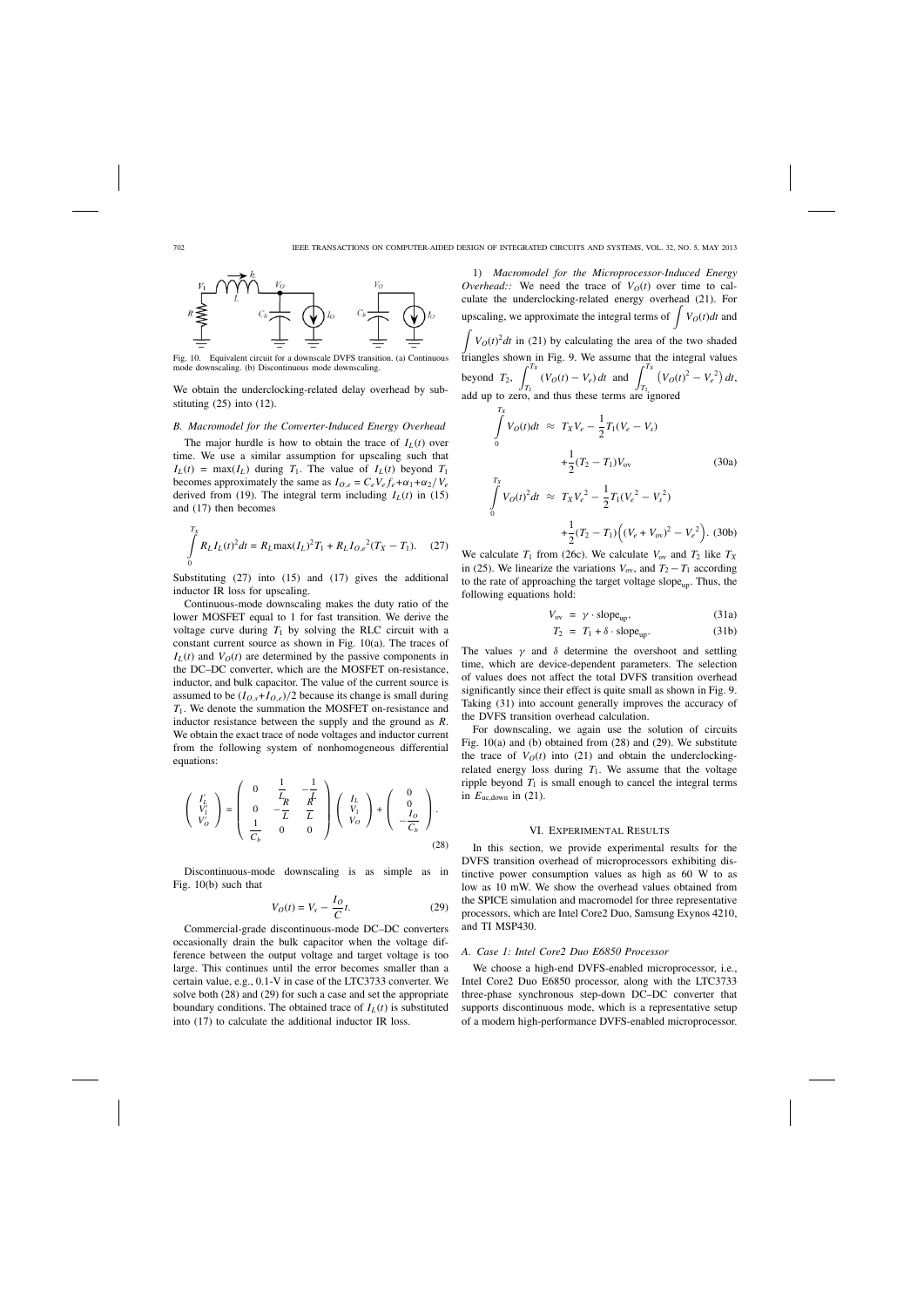$\Omega$ 



Fig. 10. Equivalent circuit for a downscale DVFS transition. (a) Continuous mode downscaling. (b) Discontinuous mode downscaling.

We obtain the underclocking-related delay overhead by substituting (25) into (12).

## *B. Macromodel for the Converter-Induced Energy Overhead*

The major hurdle is how to obtain the trace of  $I_L(t)$  over time. We use a similar assumption for upscaling such that  $I_L(t) = \max(I_L)$  during  $T_1$ . The value of  $I_L(t)$  beyond  $T_1$ becomes approximately the same as  $I_{O,e} = C_e V_e f_e + \alpha_1 + \alpha_2 / V_e$ derived from (19). The integral term including  $I_L(t)$  in (15) and (17) then becomes

$$
\int_{0}^{T_X} R_L I_L(t)^2 dt = R_L \max(I_L)^2 T_1 + R_L I_{O,e}^2 (T_X - T_1). \tag{27}
$$

Substituting (27) into (15) and (17) gives the additional inductor IR loss for upscaling.

Continuous-mode downscaling makes the duty ratio of the lower MOSFET equal to 1 for fast transition. We derive the voltage curve during  $T_1$  by solving the RLC circuit with a constant current source as shown in Fig. 10(a). The traces of  $I_L(t)$  and  $V_O(t)$  are determined by the passive components in the DC–DC converter, which are the MOSFET on-resistance, inductor, and bulk capacitor. The value of the current source is assumed to be  $(I_{O,s}+I_{O,e})/2$  because its change is small during *T*1. We denote the summation the MOSFET on-resistance and inductor resistance between the supply and the ground as *R*. We obtain the exact trace of node voltages and inductor current from the following system of nonhomogeneous differential equations:

$$
\begin{pmatrix}\nI_L' \\
V_1' \\
V_0'\n\end{pmatrix} = \begin{pmatrix}\n0 & \frac{1}{L_R} & -\frac{1}{L} \\
0 & -\frac{1}{L} & \frac{1}{L} \\
\frac{1}{C_b} & 0 & 0\n\end{pmatrix} \begin{pmatrix}\nI_L \\
V_1 \\
V_0\n\end{pmatrix} + \begin{pmatrix}\n0 \\
0 \\
-\frac{I_O}{C_b}\n\end{pmatrix}.
$$
\n(28)

Discontinuous-mode downscaling is as simple as in Fig. 10(b) such that

$$
V_O(t) = V_s - \frac{I_O}{C}t.\tag{29}
$$

Commercial-grade discontinuous-mode DC–DC converters occasionally drain the bulk capacitor when the voltage difference between the output voltage and target voltage is too large. This continues until the error becomes smaller than a certain value, e.g., 0.1-V in case of the LTC3733 converter. We solve both (28) and (29) for such a case and set the appropriate boundary conditions. The obtained trace of  $I_L(t)$  is substituted into (17) to calculate the additional inductor IR loss.

1) *Macromodel for the Microprocessor-Induced Energy Overhead::* We need the trace of  $V<sub>O</sub>(t)$  over time to calculate the underclocking-related energy overhead (21). For upscaling, we approximate the integral terms of  $\int V_0(t)dt$  and  $\overline{\phantom{a}}$  $V_O(t)^2 dt$  in (21) by calculating the area of the two shaded triangles shown in Fig. 9. We assume that the integral values beyond  $T_2$ ,  $\int^{T_X}$  $\int_{T_2}^{T_X} (V_O(t) - V_e) dt$  and  $\int_{T_2}^{T_X}$  $\left(V_O(t)^2 - V_e^2\right) dt$ , add up to zero, and thus these terms are ignored *TX*

$$
\int_{0}^{T_X} V_O(t)dt \approx T_X V_e - \frac{1}{2} T_1 (V_e - V_s)
$$
\n
$$
+ \frac{1}{2} (T_2 - T_1) V_{ov}
$$
\n(30a)

$$
\int V_0(t)^2 dt \approx T_X V_e^2 - \frac{1}{2} T_1 (V_e^2 - V_s^2)
$$
  
+ 
$$
\frac{1}{2} (T_2 - T_1) \Big( (V_e + V_{ov})^2 - V_e^2 \Big).
$$
 (30b)

We calculate  $T_1$  from (26c). We calculate  $V_{ov}$  and  $T_2$  like  $T_X$ in (25). We linearize the variations  $V_{\text{ov}}$ , and  $T_2 - T_1$  according to the rate of approaching the target voltage slope<sub>up</sub>. Thus, the following equations hold:

$$
V_{\text{ov}} = \gamma \cdot \text{slope}_{\text{up}}, \tag{31a}
$$

$$
T_2 = T_1 + \delta \cdot \text{slope}_{\text{up}}.\tag{31b}
$$

The values  $\gamma$  and  $\delta$  determine the overshoot and settling time, which are device-dependent parameters. The selection of values does not affect the total DVFS transition overhead significantly since their effect is quite small as shown in Fig. 9. Taking (31) into account generally improves the accuracy of the DVFS transition overhead calculation.

For downscaling, we again use the solution of circuits Fig. 10(a) and (b) obtained from (28) and (29). We substitute the trace of  $V<sub>O</sub>(t)$  into (21) and obtain the underclockingrelated energy loss during  $T_1$ . We assume that the voltage ripple beyond  $T_1$  is small enough to cancel the integral terms in  $E_{\text{uc,down}}$  in (21).

## VI. Experimental Results

In this section, we provide experimental results for the DVFS transition overhead of microprocessors exhibiting distinctive power consumption values as high as 60 W to as low as 10 mW. We show the overhead values obtained from the SPICE simulation and macromodel for three representative processors, which are Intel Core2 Duo, Samsung Exynos 4210, and TI MSP430.

## *A. Case 1: Intel Core2 Duo E6850 Processor*

We choose a high-end DVFS-enabled microprocessor, i.e., Intel Core2 Duo E6850 processor, along with the LTC3733 three-phase synchronous step-down DC–DC converter that supports discontinuous mode, which is a representative setup of a modern high-performance DVFS-enabled microprocessor.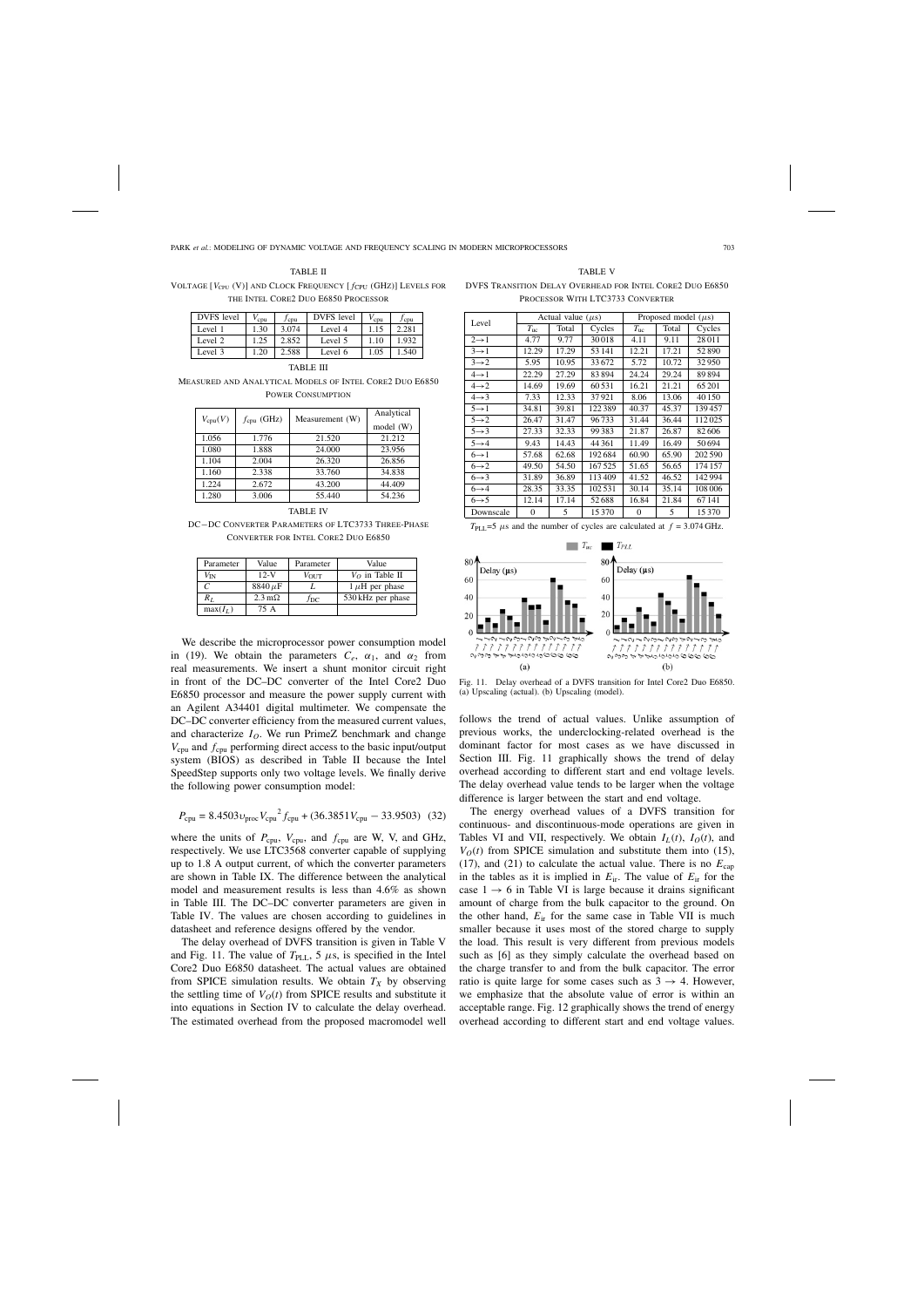#### TABLE II

Voltage [*V*cpu (V)] and Clock Frequency [*f*CPU (GHz)] Levels for the Intel Core2 Duo E6850 Processor

| DVFS level | $V_{\rm CDU}$ | $J$ cpu | <b>DVFS</b> level | $V_{\rm cpu}$ | <i>J</i> cpu |
|------------|---------------|---------|-------------------|---------------|--------------|
| Level 1    | 1.30          | 3.074   | Level 4           | 1.15          | 2.281        |
| Level 2    | 1.25          | 2.852   | Level 5           | 1.10          | 1.932        |
| Level 3    | 1.20          | 2.588   | Level 6           | 1.05          | 1.540        |

TABLE III Measured and Analytical Models of Intel Core2 Duo E6850 Power Consumption

| $V_{\text{cpu}}(V)$ | $f_{\text{cpu}}$ (GHz) | Measurement (W) | Analytical<br>model (W) |
|---------------------|------------------------|-----------------|-------------------------|
| 1.056               | 1.776                  | 21.520          | 21.212                  |
| 1.080               | 1.888                  | 24,000          | 23.956                  |
| 1.104               | 2.004                  | 26.320          | 26.856                  |
| 1.160               | 2.338                  | 33.760          | 34.838                  |
| 1.224               | 2.672                  | 43.200          | 44.409                  |
| 1.280               | 3.006                  | 55.440          | 54.236                  |

TABLE IV

DC−DC Converter Parameters of LTC3733 Three-Phase Converter for Intel Core2 Duo E6850

| Parameter    | Value                    | Parameter        | Value               |
|--------------|--------------------------|------------------|---------------------|
| $V_{\rm IN}$ | $12-V$                   | $V_{\text{OUT}}$ | $V_O$ in Table II   |
| C            | $8840 \,\mu F$           |                  | $1 \mu$ H per phase |
| $R_{L}$      | $2.3 \,\mathrm{m}\Omega$ | fdc              | 530 kHz per phase   |
| $max(I_L)$   | 75 A                     |                  |                     |

We describe the microprocessor power consumption model in (19). We obtain the parameters  $C_e$ ,  $\alpha_1$ , and  $\alpha_2$  from real measurements. We insert a shunt monitor circuit right in front of the DC–DC converter of the Intel Core2 Duo E6850 processor and measure the power supply current with an Agilent A34401 digital multimeter. We compensate the DC–DC converter efficiency from the measured current values, and characterize  $I<sub>O</sub>$ . We run PrimeZ benchmark and change *V*cpu and *f*cpu performing direct access to the basic input/output system (BIOS) as described in Table II because the Intel SpeedStep supports only two voltage levels. We finally derive the following power consumption model:

$$
P_{\rm cpu} = 8.4503 \nu_{\rm proc} V_{\rm cpu}^2 f_{\rm cpu} + (36.3851 V_{\rm cpu} - 33.9503) \tag{32}
$$

where the units of  $P_{\text{cpu}}$ ,  $V_{\text{cpu}}$ , and  $f_{\text{cpu}}$  are W, V, and GHz, respectively. We use LTC3568 converter capable of supplying up to 1.8 A output current, of which the converter parameters are shown in Table IX. The difference between the analytical model and measurement results is less than 4.6% as shown in Table III. The DC–DC converter parameters are given in Table IV. The values are chosen according to guidelines in datasheet and reference designs offered by the vendor.

The delay overhead of DVFS transition is given in Table V and Fig. 11. The value of  $T_{\text{PLL}}$ , 5  $\mu$ s, is specified in the Intel Core2 Duo E6850 datasheet. The actual values are obtained from SPICE simulation results. We obtain  $T_X$  by observing the settling time of  $V<sub>O</sub>(t)$  from SPICE results and substitute it into equations in Section IV to calculate the delay overhead. The estimated overhead from the proposed macromodel well

#### TABLE V

DVFS Transition Delay Overhead for Intel Core2 Duo E6850 Processor With LTC3733 Converter

| Level             |              | Actual value $(\mu s)$ |        | Proposed model $(\mu s)$ |       |         |  |
|-------------------|--------------|------------------------|--------|--------------------------|-------|---------|--|
|                   | $T_{\rm uc}$ | Total                  | Cycles | $T_{\rm uc}$             | Total | Cycles  |  |
| $2 \rightarrow 1$ | 4.77         | 9.77                   | 30018  | 4.11                     | 9.11  | 28011   |  |
| $3 \rightarrow 1$ | 12.29        | 17.29                  | 53 141 | 12.21                    | 17.21 | 52890   |  |
| $3\rightarrow 2$  | 5.95         | 10.95                  | 33 672 | 5.72                     | 10.72 | 32950   |  |
| $4 \rightarrow 1$ | 22.29        | 27.29                  | 83894  | 24.24                    | 29.24 | 89894   |  |
| $4\rightarrow 2$  | 14.69        | 19.69                  | 60 531 | 16.21                    | 21.21 | 65201   |  |
| $4 \rightarrow 3$ | 7.33         | 12.33                  | 37921  | 8.06                     | 13.06 | 40150   |  |
| $5 \rightarrow 1$ | 34.81        | 39.81                  | 122389 | 40.37                    | 45.37 | 139457  |  |
| $5\rightarrow 2$  | 26.47        | 31.47                  | 96733  | 31.44                    | 36.44 | 112025  |  |
| $5 \rightarrow 3$ | 27.33        | 32.33                  | 99383  | 21.87                    | 26.87 | 82606   |  |
| $5 \rightarrow 4$ | 9.43         | 14.43                  | 44 361 | 11.49                    | 16.49 | 50694   |  |
| $6 \rightarrow 1$ | 57.68        | 62.68                  | 192684 | 60.90                    | 65.90 | 202590  |  |
| $6\rightarrow 2$  | 49.50        | 54.50                  | 167525 | 51.65                    | 56.65 | 174 157 |  |
| $6 \rightarrow 3$ | 31.89        | 36.89                  | 113409 | 41.52                    | 46.52 | 142994  |  |
| $6 \rightarrow 4$ | 28.35        | 33.35                  | 102531 | 30.14                    | 35.14 | 108 006 |  |
| $6 \rightarrow 5$ | 12.14        | 17.14                  | 52688  | 16.84                    | 21.84 | 67141   |  |
| Downscale         | 0            | 5                      | 15 370 | $\Omega$                 | 5     | 15370   |  |

 $T_{\text{PLL}}=5 \mu s$  and the number of cycles are calculated at  $f = 3.074 \text{ GHz}$ .



Fig. 11. Delay overhead of a DVFS transition for Intel Core2 Duo E6850. (a) Upscaling (actual). (b) Upscaling (model).

follows the trend of actual values. Unlike assumption of previous works, the underclocking-related overhead is the dominant factor for most cases as we have discussed in Section III. Fig. 11 graphically shows the trend of delay overhead according to different start and end voltage levels. The delay overhead value tends to be larger when the voltage difference is larger between the start and end voltage.

The energy overhead values of a DVFS transition for continuous- and discontinuous-mode operations are given in Tables VI and VII, respectively. We obtain  $I_L(t)$ ,  $I_O(t)$ , and  $V<sub>O</sub>(t)$  from SPICE simulation and substitute them into (15), (17), and (21) to calculate the actual value. There is no  $E_{cap}$ in the tables as it is implied in  $E_{ir}$ . The value of  $E_{ir}$  for the case  $1 \rightarrow 6$  in Table VI is large because it drains significant amount of charge from the bulk capacitor to the ground. On the other hand, *E*ir for the same case in Table VII is much smaller because it uses most of the stored charge to supply the load. This result is very different from previous models such as [6] as they simply calculate the overhead based on the charge transfer to and from the bulk capacitor. The error ratio is quite large for some cases such as  $3 \rightarrow 4$ . However, we emphasize that the absolute value of error is within an acceptable range. Fig. 12 graphically shows the trend of energy overhead according to different start and end voltage values.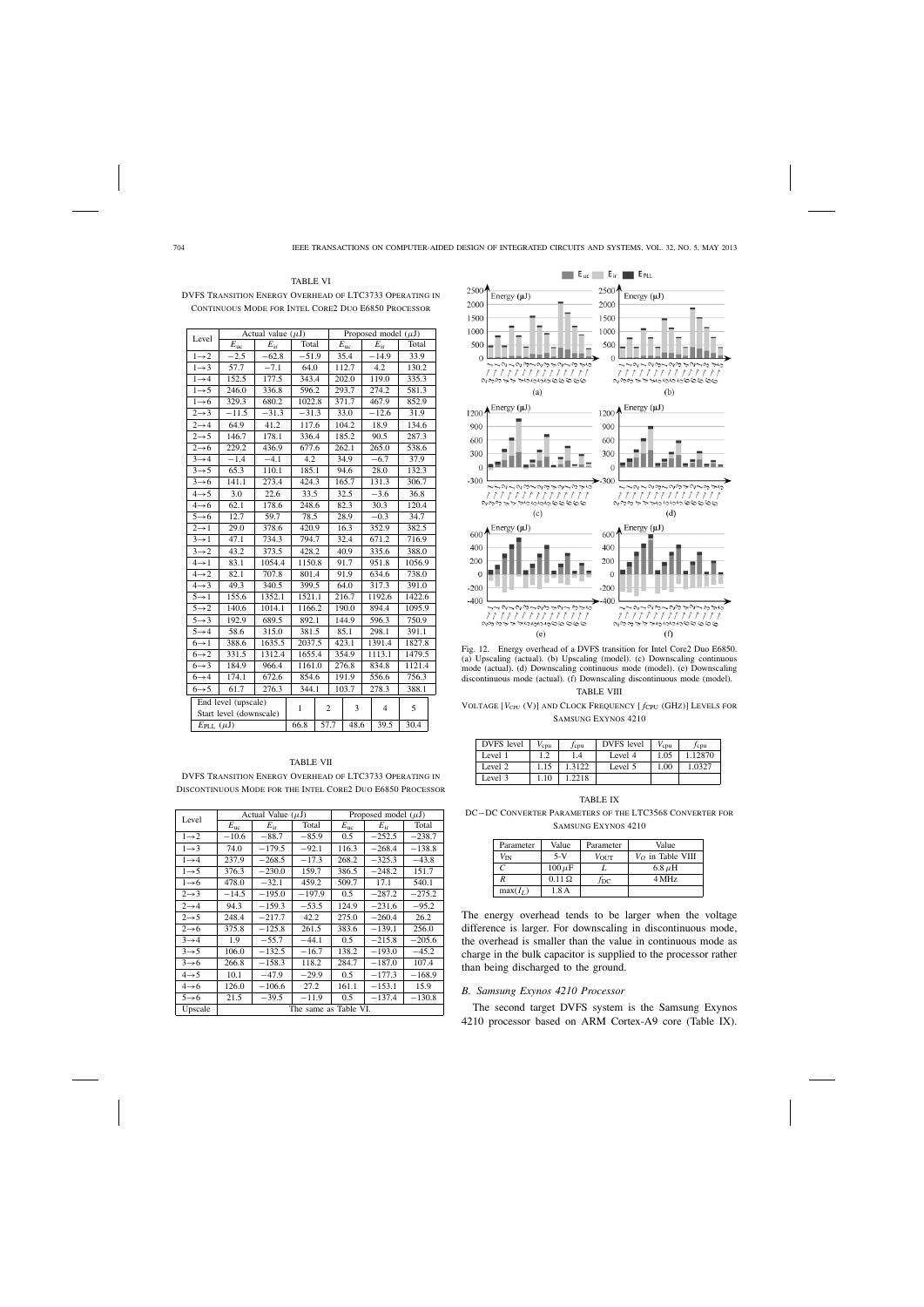TABLE VI DVFS Transition Energy Overhead of LTC3733 Operating in Continuous Mode for Intel Core2 Duo E6850 Processor

| Level                     |                         | Actual value $(\mu J)$ |              |                | Proposed model $(\mu J)$ |              |  |                |        |  |
|---------------------------|-------------------------|------------------------|--------------|----------------|--------------------------|--------------|--|----------------|--------|--|
|                           | $E_{\rm uc}$            | $E_{\rm ir}$           | Total        |                |                          | $E_{\rm uc}$ |  | $E_{\rm ir}$   | Total  |  |
| $1\rightarrow 2$          | $-2.5$                  | $-62.8$                | $-51.9$      |                |                          | 35.4         |  | $-14.9$        | 33.9   |  |
| $1 \rightarrow 3$         | 57.7                    | $-7.1$                 | 64.0         |                |                          | 112.7        |  | 4.2            | 130.2  |  |
| $1\rightarrow 4$          | 152.5                   | 177.5                  | 343.4        |                |                          | 202.0        |  | 119.0          | 335.3  |  |
| $1 \rightarrow 5$         | 246.0                   | 336.8                  | 596.2        |                |                          | 293.7        |  | 274.2          | 581.3  |  |
| $1\rightarrow 6$          | 329.3                   | 680.2                  | 1022.8       |                |                          | 371.7        |  | 467.9          | 852.9  |  |
| $2 \rightarrow 3$         | $-11.5$                 | $-31.3$                | $-31.3$      |                |                          | 33.0         |  | $-12.6$        | 31.9   |  |
| $2\rightarrow 4$          | 64.9                    | 41.2                   | 117.6        |                |                          | 104.2        |  | 18.9           | 134.6  |  |
| $2 \rightarrow 5$         | 146.7                   | 178.1                  | 336.4        |                |                          | 185.2        |  | 90.5           | 287.3  |  |
| $2 \rightarrow 6$         | 229.2                   | 436.9                  | 677.6        |                |                          | 262.1        |  | 265.0          | 538.6  |  |
| $3 \rightarrow 4$         | $-1.4$                  | $-4.1$                 | 4.2          |                |                          | 34.9         |  | $-6.7$         | 37.9   |  |
| $3 \rightarrow 5$         | 65.3                    | 110.1                  | 185.1        |                |                          | 94.6         |  | 28.0           | 132.3  |  |
| $3 \rightarrow 6$         | 141.1                   | 273.4                  | 424.3        |                |                          | 165.7        |  | 131.3          | 306.7  |  |
| $4 \rightarrow 5$         | 3.0                     | 22.6                   | 33.5         |                |                          | 32.5         |  | $-3.6$         | 36.8   |  |
| $4 \rightarrow 6$         | 62.1                    | 178.6                  | 248.6        |                |                          | 82.3         |  | 30.3           | 120.4  |  |
| $5 \rightarrow 6$         | 12.7                    | 59.7                   | 78.5         |                |                          | 28.9         |  | $-0.3$         | 34.7   |  |
| $2 \rightarrow 1$         | 29.0                    | 378.6                  | 420.9        |                |                          | 16.3         |  | 352.9          | 382.5  |  |
| $3 \rightarrow 1$         | 47.1                    | 734.3                  | 794.7        |                |                          | 32.4         |  | 671.2          | 716.9  |  |
| $3\rightarrow 2$          | 43.2                    | 373.5                  | 428.2        |                |                          | 40.9         |  | 335.6          | 388.0  |  |
| $4 \rightarrow 1$         | 83.1                    | 1054.4                 | 1150.8       |                |                          | 91.7         |  | 951.8          | 1056.9 |  |
| $4\rightarrow 2$          | 82.1                    | 707.8                  | 801.4        |                |                          | 91.9         |  | 634.6          | 738.0  |  |
| $4 \rightarrow 3$         | 49.3                    | 340.5                  | 399.5        |                |                          | 64.0         |  | 317.3          | 391.0  |  |
| $5 \rightarrow 1$         | 155.6                   | 1352.1                 | 1521.1       |                |                          | 216.7        |  | 1192.6         | 1422.6 |  |
| $5 \rightarrow 2$         | 140.6                   | 1014.1                 | 1166.2       |                |                          | 190.0        |  | 894.4          | 1095.9 |  |
| $5\rightarrow 3$          | 192.9                   | 689.5                  | 892.1        |                |                          | 144.9        |  | 596.3          | 750.9  |  |
| $5 \rightarrow 4$         | 58.6                    | 315.0                  | 381.5        |                |                          | 85.1         |  | 298.1          | 391.1  |  |
| $6 \rightarrow 1$         | 388.6                   | 1635.5                 | 2037.5       |                |                          | 423.1        |  | 1391.4         | 1827.8 |  |
| $6 \rightarrow 2$         | 331.5                   | 1312.4                 | 1655.4       |                |                          | 354.9        |  | 1113.1         | 1479.5 |  |
| $6 \rightarrow 3$         | 184.9                   | 966.4                  | 1161.0       |                |                          | 276.8        |  | 834.8          | 1121.4 |  |
| $6 \rightarrow 4$         | 174.1                   | 672.6                  | 854.6        |                |                          | 191.9        |  | 556.6          | 756.3  |  |
| $6 \rightarrow 5$         | 61.7                    | 276.3                  | 344.1        |                |                          | 103.7        |  | 278.3          | 388.1  |  |
|                           | End level (upscale)     |                        | $\mathbf{1}$ | $\overline{c}$ |                          | 3            |  | $\overline{4}$ | 5      |  |
|                           | Start level (downscale) |                        |              |                |                          |              |  |                |        |  |
| $E_{\rm{PLL}}$ ( $\mu$ J) |                         |                        | 66.8         | 57.7           |                          | 48.6         |  | 39.5           | 30.4   |  |

#### TABLE VII

DVFS Transition Energy Overhead of LTC3733 Operating in Discontinuous Mode for the Intel Core2 Duo E6850 Processor

| Level             |              | Actual Value $(\mu J)$ |                       | Proposed model $(\mu J)$ |              |          |  |
|-------------------|--------------|------------------------|-----------------------|--------------------------|--------------|----------|--|
|                   | $E_{\rm uc}$ | $E_{\rm ir}$           | Total                 | $E_{\text{uc}}$          | $E_{\rm ir}$ | Total    |  |
| $1\rightarrow 2$  | $-10.6$      | $-88.7$                | $-85.9$               | 0.5                      | $-252.5$     | $-238.7$ |  |
| $1 \rightarrow 3$ | 74.0         | $-179.5$               | $-92.1$               | 116.3                    | $-268.4$     | $-138.8$ |  |
| $1 \rightarrow 4$ | 237.9        | $-268.5$               | $-17.3$               | 268.2                    | $-325.3$     | $-43.8$  |  |
| $1 \rightarrow 5$ | 376.3        | $-230.0$               | 159.7                 | 386.5                    | $-248.2$     | 151.7    |  |
| $1\rightarrow 6$  | 478.0        | $-32.1$                | 459.2                 | 509.7                    | 17.1         | 540.1    |  |
| $2 \rightarrow 3$ | $-14.5$      | $-195.0$               | $-197.9$              | 0.5                      | $-287.2$     | $-275.2$ |  |
| $2 \rightarrow 4$ | 94.3         | $-159.3$               | $-53.5$               | 124.9                    | $-231.6$     | $-95.2$  |  |
| $2 \rightarrow 5$ | 248.4        | $-217.7$               | 42.2                  | 275.0                    | $-260.4$     | 26.2     |  |
| $2\rightarrow 6$  | 375.8        | $-125.8$               | 261.5                 | 383.6                    | $-139.1$     | 256.0    |  |
| $3\rightarrow 4$  | 1.9          | $-55.7$                | $-44.1$               | 0.5                      | $-215.8$     | $-205.6$ |  |
| $3 \rightarrow 5$ | 106.0        | $-132.5$               | $-16.7$               | 138.2                    | $-193.0$     | $-45.2$  |  |
| $3 \rightarrow 6$ | 266.8        | $-158.3$               | 118.2                 | 284.7                    | $-187.0$     | 107.4    |  |
| $4 \rightarrow 5$ | 10.1         | $-47.9$                | $-29.9$               | 0.5                      | $-177.3$     | $-168.9$ |  |
| $4 \rightarrow 6$ | 126.0        | $-106.6$               | 27.2                  | 161.1                    | $-153.1$     | 15.9     |  |
| $5 \rightarrow 6$ | 21.5         | $-39.5$                | $-11.9$               | 0.5                      | $-137.4$     | $-130.8$ |  |
| Upscale           |              |                        | The same as Table VI. |                          |              |          |  |



Fig. 12. Energy overhead of a DVFS transition for Intel Core2 Duo E6850. (a) Upscaling (actual). (b) Upscaling (model). (c) Downscaling continuous mode (actual). (d) Downscaling continuous mode (model). (e) Downscaling discontinuous mode (actual). (f) Downscaling discontinuous mode (model).

# TABLE VIII VOLTAGE [ $V_{\text{CPU}}$  (V)] AND CLOCK FREQUENCY [ $f_{\text{CPU}}$  (GHZ)] LEVELS FOR Samsung Exynos 4210

| DVFS level | <sup>V</sup> cpu | J cpu  | <b>DVFS</b> level | √ cpu | J cpu   |
|------------|------------------|--------|-------------------|-------|---------|
| Level 1    | 1.2              | 1.4    | Level 4           | 1.05  | 1.12870 |
| Level 2    | 1.15             | 1.3122 | Level 5           | 1.00  | 1.0327  |
| Level 3    | 1.10             | 2218   |                   |       |         |

TABLE IX DC−DC Converter Parameters of the LTC3568 Converter for

Samsung Exynos 4210

| Parameter    | Value         | Parameter     | Value               |
|--------------|---------------|---------------|---------------------|
| $V_{\rm IN}$ | $5-V$         | $V_{\rm OUT}$ | $V_O$ in Table VIII |
|              | $100 \,\mu F$ |               | $6.8 \mu H$         |
|              | $0.11\Omega$  | fрc           | 4 MHz               |
| $max(I_L)$   | 1.8 A         |               |                     |

The energy overhead tends to be larger when the voltage difference is larger. For downscaling in discontinuous mode, the overhead is smaller than the value in continuous mode as charge in the bulk capacitor is supplied to the processor rather than being discharged to the ground.

# *B. Samsung Exynos 4210 Processor*

The second target DVFS system is the Samsung Exynos 4210 processor based on ARM Cortex-A9 core (Table IX).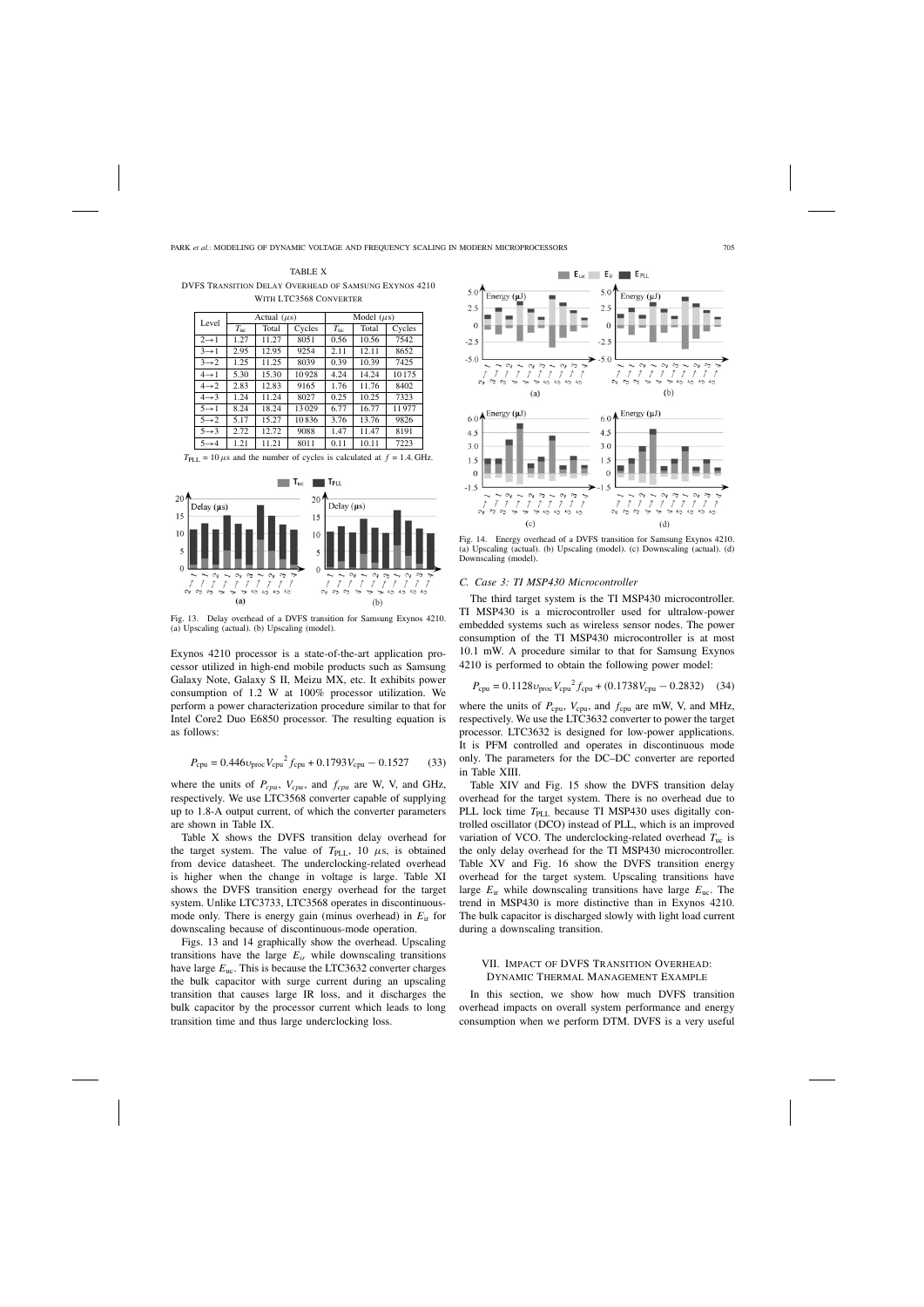#### TABLE X

DVFS Transition Delay Overhead of Samsung Exynos 4210 With LTC3568 Converter

| Level             |              | Actual $(\mu s)$ |        | Model $(\mu s)$ |       |        |  |
|-------------------|--------------|------------------|--------|-----------------|-------|--------|--|
|                   | $T_{\rm uc}$ | Total            | Cycles | $T_{\text{uc}}$ | Total | Cycles |  |
| $2 \rightarrow 1$ | 1.27         | 11.27            | 8051   | 0.56            | 10.56 | 7542   |  |
| $3 \rightarrow 1$ | 2.95         | 12.95            | 9254   | 2.11            | 12.11 | 8652   |  |
| $3\rightarrow 2$  | 1.25         | 11.25            | 8039   | 0.39            | 10.39 | 7425   |  |
| $4 \rightarrow 1$ | 5.30         | 15.30            | 10928  | 4.24            | 14.24 | 10 175 |  |
| $4\rightarrow 2$  | 2.83         | 12.83            | 9165   | 1.76            | 11.76 | 8402   |  |
| $4 \rightarrow 3$ | 1.24         | 11.24            | 8027   | 0.25            | 10.25 | 7323   |  |
| $5 \rightarrow 1$ | 8.24         | 18.24            | 13029  | 6.77            | 16.77 | 11977  |  |
| $5\rightarrow 2$  | 5.17         | 15.27            | 10836  | 3.76            | 13.76 | 9826   |  |
| $5 \rightarrow 3$ | 2.72         | 12.72            | 9088   | 1.47            | 11.47 | 8191   |  |
| $5\rightarrow 4$  | 1.21         | 11.21            | 8011   | 0.11            | 10.11 | 7223   |  |

 $T_{\text{PLL}} = 10 \,\mu s$  and the number of cycles is calculated at  $f = 1.4$ . GHz.



Fig. 13. Delay overhead of a DVFS transition for Samsung Exynos 4210. (a) Upscaling (actual). (b) Upscaling (model).

Exynos 4210 processor is a state-of-the-art application processor utilized in high-end mobile products such as Samsung Galaxy Note, Galaxy S II, Meizu MX, etc. It exhibits power consumption of 1.2 W at 100% processor utilization. We perform a power characterization procedure similar to that for Intel Core2 Duo E6850 processor. The resulting equation is as follows:

$$
P_{\text{cpu}} = 0.446 \nu_{\text{proc}} V_{\text{cpu}}^2 f_{\text{cpu}} + 0.1793 V_{\text{cpu}} - 0.1527 \tag{33}
$$

where the units of  $P_{cpu}$ ,  $V_{cpu}$ , and  $f_{cpu}$  are W, V, and GHz, respectively. We use LTC3568 converter capable of supplying up to 1.8-A output current, of which the converter parameters are shown in Table IX.

Table X shows the DVFS transition delay overhead for the target system. The value of  $T_{\text{PLL}}$ , 10  $\mu$ s, is obtained from device datasheet. The underclocking-related overhead is higher when the change in voltage is large. Table XI shows the DVFS transition energy overhead for the target system. Unlike LTC3733, LTC3568 operates in discontinuousmode only. There is energy gain (minus overhead) in *E*ir for downscaling because of discontinuous-mode operation.

Figs. 13 and 14 graphically show the overhead. Upscaling transitions have the large  $E_{ir}$  while downscaling transitions have large *E*uc. This is because the LTC3632 converter charges the bulk capacitor with surge current during an upscaling transition that causes large IR loss, and it discharges the bulk capacitor by the processor current which leads to long transition time and thus large underclocking loss.



Fig. 14. Energy overhead of a DVFS transition for Samsung Exynos 4210. (a) Upscaling (actual). (b) Upscaling (model). (c) Downscaling (actual). (d) Downscaling (model).

#### *C. Case 3: TI MSP430 Microcontroller*

The third target system is the TI MSP430 microcontroller. TI MSP430 is a microcontroller used for ultralow-power embedded systems such as wireless sensor nodes. The power consumption of the TI MSP430 microcontroller is at most 10*.*1 mW. A procedure similar to that for Samsung Exynos 4210 is performed to obtain the following power model:

$$
P_{\rm cpu} = 0.1128 \nu_{\rm proc} V_{\rm cpu}^2 f_{\rm cpu} + (0.1738 V_{\rm cpu} - 0.2832) \tag{34}
$$

where the units of  $P_{cpu}$ ,  $V_{cpu}$ , and  $f_{cpu}$  are mW, V, and MHz, respectively. We use the LTC3632 converter to power the target processor. LTC3632 is designed for low-power applications. It is PFM controlled and operates in discontinuous mode only. The parameters for the DC–DC converter are reported in Table XIII.

Table XIV and Fig. 15 show the DVFS transition delay overhead for the target system. There is no overhead due to PLL lock time  $T_{\text{PLL}}$  because TI MSP430 uses digitally controlled oscillator (DCO) instead of PLL, which is an improved variation of VCO. The underclocking-related overhead  $T_{uc}$  is the only delay overhead for the TI MSP430 microcontroller. Table XV and Fig. 16 show the DVFS transition energy overhead for the target system. Upscaling transitions have large *E*ir while downscaling transitions have large *E*uc. The trend in MSP430 is more distinctive than in Exynos 4210. The bulk capacitor is discharged slowly with light load current during a downscaling transition.

# VII. Impact of DVFS Transition Overhead: Dynamic Thermal Management Example

In this section, we show how much DVFS transition overhead impacts on overall system performance and energy consumption when we perform DTM. DVFS is a very useful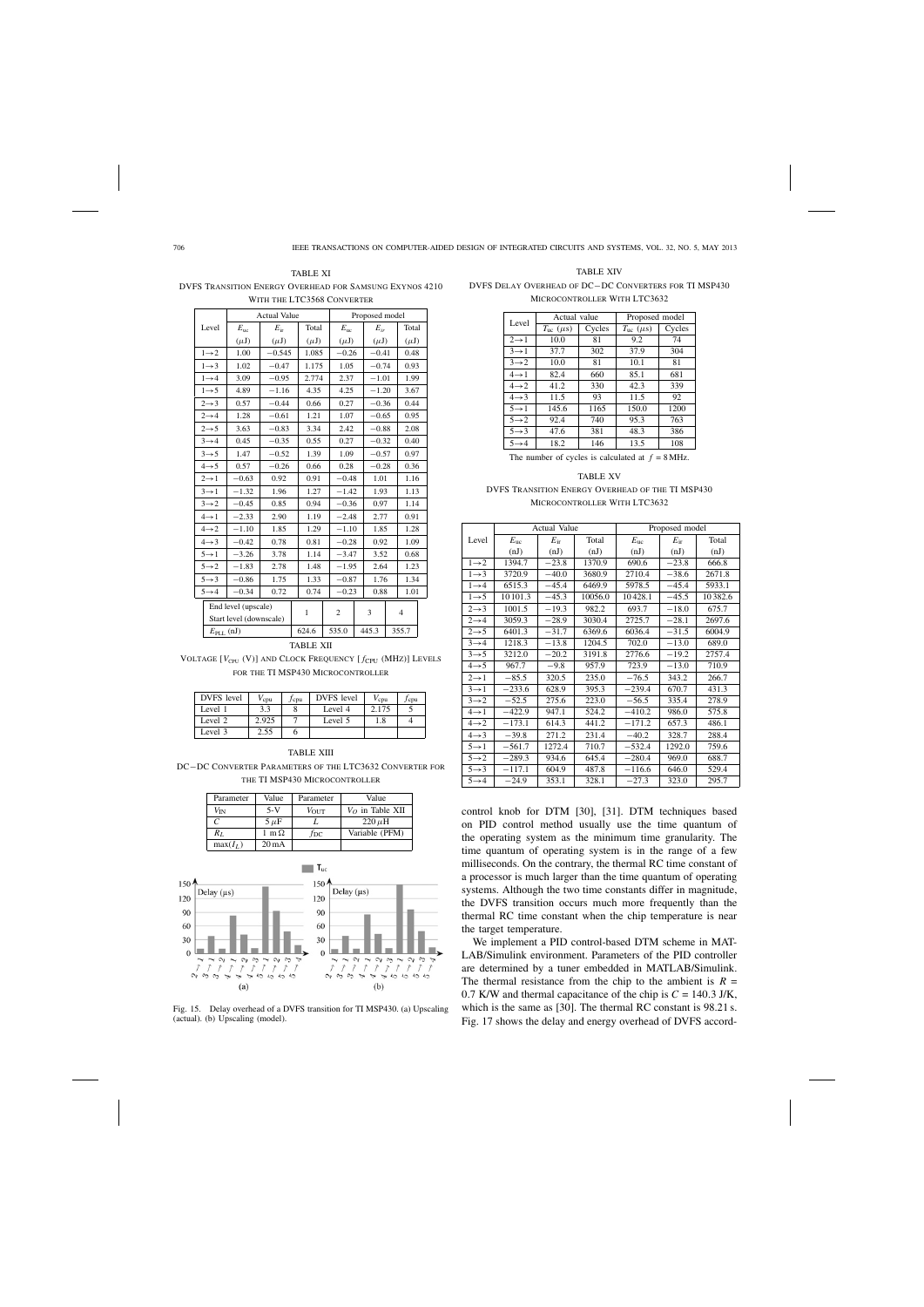#### TABLE XI

DVFS Transition Energy Overhead for Samsung Exynos 4210 With the LTC3568 Converter

|                      |                         | <b>Actual Value</b> |              |                 |                 | Proposed model |  |                |  |  |
|----------------------|-------------------------|---------------------|--------------|-----------------|-----------------|----------------|--|----------------|--|--|
| Level                | $E_{\text{nc}}$         | $E_{ir}$            | Total        | $E_{\text{nc}}$ |                 | $E_{ir}$       |  | Total          |  |  |
|                      | $(\mu J)$               | $(\mu J)$           | $(\mu J)$    | $(\mu J)$       |                 | $(\mu J)$      |  | $(\mu J)$      |  |  |
| $1\rightarrow 2$     | 1.00                    | $-0.545$            | 1.085        | $-0.26$         |                 | $-0.41$        |  | 0.48           |  |  |
| $1 \rightarrow 3$    | 1.02                    | $-0.47$             | 1.175        | 1.05            |                 | $-0.74$        |  | 0.93           |  |  |
| $1 \rightarrow 4$    | 3.09                    | $-0.95$             | 2.774        | 2.37            |                 | $-1.01$        |  | 1.99           |  |  |
| $1 \rightarrow 5$    | 4.89                    | $-1.16$             | 4.35         | 4.25            |                 | $-1.20$        |  | 3.67           |  |  |
| $2 \rightarrow 3$    | 0.57                    | $-0.44$             | 0.66         | 0.27            |                 | $-0.36$        |  | 0.44           |  |  |
| $2 \rightarrow 4$    | 1.28                    | $-0.61$             | 1.21         | 1.07            |                 | $-0.65$        |  | 0.95           |  |  |
| $2 \rightarrow 5$    | 3.63                    | $-0.83$             | 3.34         | 2.42            |                 | $-0.88$        |  | 2.08           |  |  |
| $3\rightarrow 4$     | 0.45                    | $-0.35$             | 0.55         | 0.27            |                 | $-0.32$        |  | 0.40           |  |  |
| $3 \rightarrow 5$    | 1.47                    | $-0.52$             | 1.39         |                 | 1.09<br>$-0.57$ |                |  | 0.97           |  |  |
| $4 \rightarrow 5$    | 0.57                    | $-0.26$             | 0.66         | 0.28            |                 | $-0.28$        |  | 0.36           |  |  |
| $2 \rightarrow 1$    | $-0.63$                 | 0.92                | 0.91         | $-0.48$         |                 | 1.01           |  | 1.16           |  |  |
| $3 \rightarrow 1$    | $-1.32$                 | 1.96                | 1.27         | $-1.42$         |                 | 1.93           |  | 1.13           |  |  |
| $3\rightarrow 2$     | $-0.45$                 | 0.85                | 0.94         | $-0.36$         |                 | 0.97           |  | 1.14           |  |  |
| $4 \rightarrow 1$    | $-2.33$                 | 2.90                | 1.19         | $-2.48$         |                 | 2.77           |  | 0.91           |  |  |
| $4\rightarrow 2$     | $-1.10$                 | 1.85                | 1.29         | $-1.10$         |                 | 1.85           |  | 1.28           |  |  |
| $4 \rightarrow 3$    | $-0.42$                 | 0.78                | 0.81         | $-0.28$         |                 | 0.92           |  | 1.09           |  |  |
| $5 \rightarrow 1$    | $-3.26$                 | 3.78                | 1.14         | $-3.47$         |                 | 3.52           |  | 0.68           |  |  |
| $5\rightarrow 2$     | $-1.83$                 | 2.78                | 1.48         | $-1.95$         |                 | 2.64           |  | 1.23           |  |  |
| $5 \rightarrow 3$    | $-0.86$                 | 1.75                | 1.33         | $-0.87$         |                 | 1.76           |  | 1.34           |  |  |
| $5 \rightarrow 4$    | $-0.34$                 | 0.72                | 0.74         | $-0.23$         |                 | 0.88           |  | 1.01           |  |  |
|                      | End level (upscale)     |                     | $\mathbf{1}$ | $\overline{c}$  |                 | 3              |  | $\overline{4}$ |  |  |
|                      | Start level (downscale) |                     |              |                 |                 |                |  |                |  |  |
| $E_{\text{PL}}$ (nJ) |                         |                     | 624.6        | 535.0           |                 | 445.3          |  | 355.7          |  |  |
|                      |                         | <b>TABLE XII</b>    |              |                 |                 |                |  |                |  |  |

VOLTAGE [*V<sub>CPU</sub>* (V)] AND CLOCK FREQUENCY [*f<sub>CPU</sub>* (MHZ)] LEVELS for the TI MSP430 Microcontroller

| DVFS level | $v_{\rm cpu}$ | $J$ cpu | DVFS level | $V_{\rm CDU}$ | J cpu |
|------------|---------------|---------|------------|---------------|-------|
| Level 1    | 3.3           |         | Level 4    | 2.175         |       |
| Level 2    | 2.925         |         | Level 5    | 1.8           |       |
| Level 3    | 2.55          |         |            |               |       |

TABLE XIII DC−DC Converter Parameters of the LTC3632 Converter for the TI MSP430 Microcontroller

| Parameter    | Value           | Parameter      | Value              |
|--------------|-----------------|----------------|--------------------|
| $V_{\rm IN}$ | $5-V$           | $V_{\rm{OUT}}$ | $V_O$ in Table XII |
| C            | $5 \mu F$       |                | $220 \mu H$        |
| $R_L$        | $1~$ m $\Omega$ | fdc            | Variable (PFM)     |
| $max(I_L)$   | $20 \text{ mA}$ |                |                    |



Fig. 15. Delay overhead of a DVFS transition for TI MSP430. (a) Upscaling (actual). (b) Upscaling (model).

#### TABLE XIV

DVFS Delay Overhead of DC−DC Converters for TI MSP430 Microcontroller With LTC3632

| Level             | Actual value            |        | Proposed model          |        |  |
|-------------------|-------------------------|--------|-------------------------|--------|--|
|                   | $T_{\rm uc}$ ( $\mu$ s) | Cycles | $T_{\rm uc}$ ( $\mu$ s) | Cycles |  |
| $2 \rightarrow 1$ | 10.0                    | 81     | 9.2                     | 74     |  |
| $3 \rightarrow 1$ | 37.7                    | 302    | 37.9                    | 304    |  |
| $3\rightarrow 2$  | 10.0                    | 81     | 10.1                    | 81     |  |
| $4 \rightarrow 1$ | 82.4                    | 660    | 85.1                    | 681    |  |
| $4\rightarrow 2$  | 41.2                    | 330    | 42.3                    | 339    |  |
| $4 \rightarrow 3$ | 11.5                    | 93     | 11.5                    | 92     |  |
| $5 \rightarrow 1$ | 145.6                   | 1165   | 150.0                   | 1200   |  |
| $5\rightarrow 2$  | 92.4                    | 740    | 95.3                    | 763    |  |
| $5 \rightarrow 3$ | 47.6                    | 381    | 48.3                    | 386    |  |
| $5 \rightarrow 4$ | 18.2                    | 146    | 13.5                    | 108    |  |

The number of cycles is calculated at  $f = 8$  MHz.

# TABLE XV DVFS Transition Energy Overhead of the TI MSP430 Microcontroller With LTC3632

|                   | <b>Actual Value</b> |          |         | Proposed model |          |         |
|-------------------|---------------------|----------|---------|----------------|----------|---------|
| Level             | $E_{\text{uc}}$     | $E_{ir}$ | Total   | $E_{\rm uc}$   | $E_{ir}$ | Total   |
|                   | (nJ)                | (nJ)     | (nJ)    | (nJ)           | (nJ)     | (nJ)    |
| $1\rightarrow 2$  | 1394.7              | $-23.8$  | 1370.9  | 690.6          | $-23.8$  | 666.8   |
| $1 \rightarrow 3$ | 3720.9              | $-40.0$  | 3680.9  | 2710.4         | $-38.6$  | 2671.8  |
| $1\rightarrow 4$  | 6515.3              | $-45.4$  | 6469.9  | 5978.5         | $-45.4$  | 5933.1  |
| $1 \rightarrow 5$ | 10 10 1.3           | $-45.3$  | 10056.0 | 10428.1        | $-45.5$  | 10382.6 |
| $2 \rightarrow 3$ | 1001.5              | $-19.3$  | 982.2   | 693.7          | $-18.0$  | 675.7   |
| $2 \rightarrow 4$ | 3059.3              | $-28.9$  | 3030.4  | 2725.7         | $-28.1$  | 2697.6  |
| $2 \rightarrow 5$ | 6401.3              | $-31.7$  | 6369.6  | 6036.4         | $-31.5$  | 6004.9  |
| $3\rightarrow 4$  | 1218.3              | $-13.8$  | 1204.5  | 702.0          | $-13.0$  | 689.0   |
| $3 \rightarrow 5$ | 3212.0              | $-20.2$  | 3191.8  | 2776.6         | $-19.2$  | 2757.4  |
| $4 \rightarrow 5$ | 967.7               | $-9.8$   | 957.9   | 723.9          | $-13.0$  | 710.9   |
| $2 \rightarrow 1$ | $-85.5$             | 320.5    | 235.0   | $-76.5$        | 343.2    | 266.7   |
| $3 \rightarrow 1$ | $-233.6$            | 628.9    | 395.3   | $-239.4$       | 670.7    | 431.3   |
| $3\rightarrow 2$  | $-52.5$             | 275.6    | 223.0   | $-56.5$        | 335.4    | 278.9   |
| $4 \rightarrow 1$ | $-422.9$            | 947.1    | 524.2   | $-410.2$       | 986.0    | 575.8   |
| $4\rightarrow 2$  | $-173.1$            | 614.3    | 441.2   | $-171.2$       | 657.3    | 486.1   |
| $4 \rightarrow 3$ | $-39.8$             | 271.2    | 231.4   | $-40.2$        | 328.7    | 288.4   |
| $5 \rightarrow 1$ | $-561.7$            | 1272.4   | 710.7   | $-532.4$       | 1292.0   | 759.6   |
| $5\rightarrow 2$  | $-289.3$            | 934.6    | 645.4   | $-280.4$       | 969.0    | 688.7   |
| $5 \rightarrow 3$ | $-117.1$            | 604.9    | 487.8   | $-116.6$       | 646.0    | 529.4   |
| $5 \rightarrow 4$ | $-24.9$             | 353.1    | 328.1   | $-27.3$        | 323.0    | 295.7   |

control knob for DTM [30], [31]. DTM techniques based on PID control method usually use the time quantum of the operating system as the minimum time granularity. The time quantum of operating system is in the range of a few milliseconds. On the contrary, the thermal RC time constant of a processor is much larger than the time quantum of operating systems. Although the two time constants differ in magnitude, the DVFS transition occurs much more frequently than the thermal RC time constant when the chip temperature is near the target temperature.

We implement a PID control-based DTM scheme in MAT-LAB/Simulink environment. Parameters of the PID controller are determined by a tuner embedded in MATLAB/Simulink. The thermal resistance from the chip to the ambient is  $R =$ 0*.*7 K/W and thermal capacitance of the chip is *C* = 140*.*3 J/K, which is the same as [30]. The thermal RC constant is 98.21 s. Fig. 17 shows the delay and energy overhead of DVFS accord-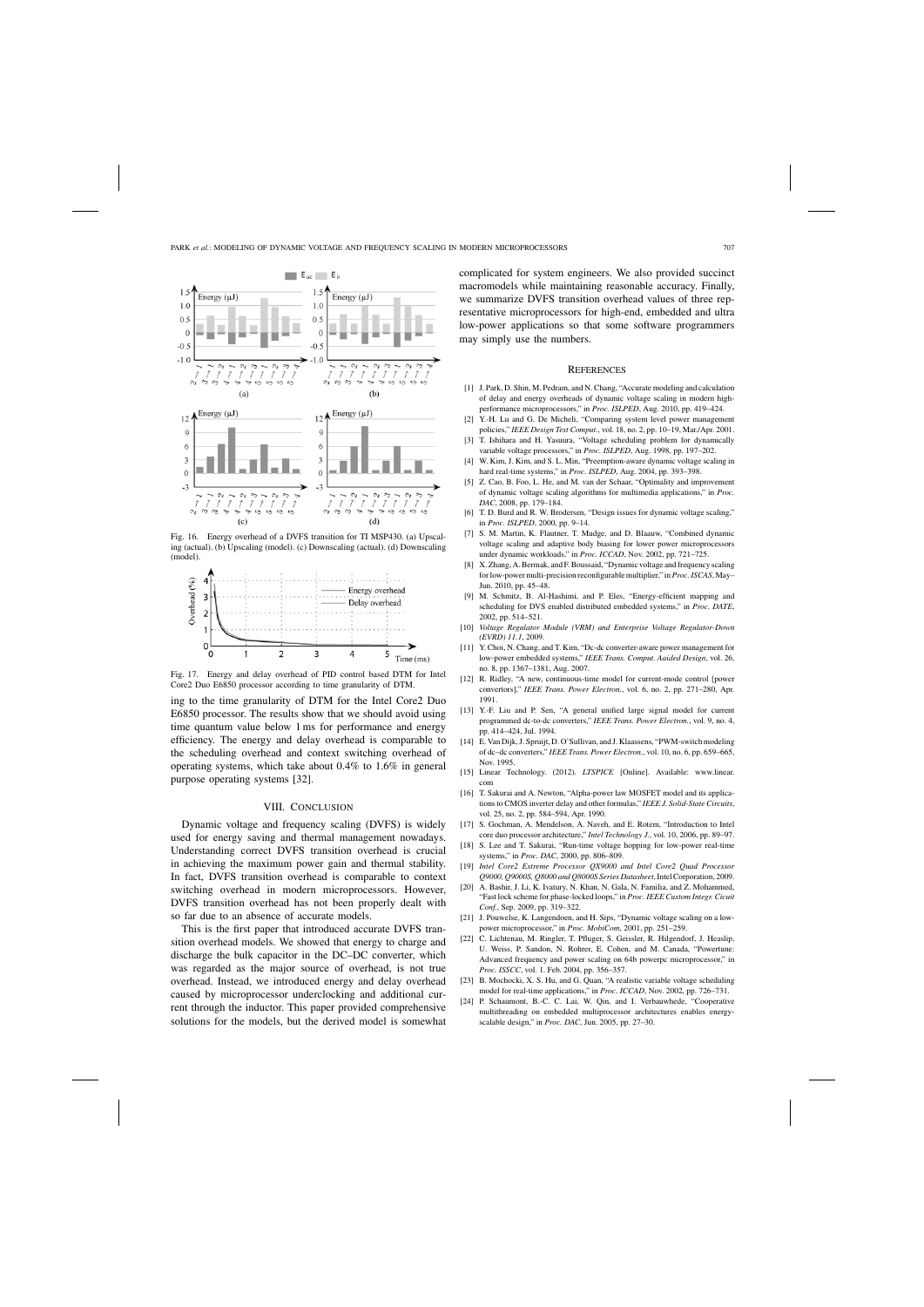

Fig. 16. Energy overhead of a DVFS transition for TI MSP430. (a) Upscaling (actual). (b) Upscaling (model). (c) Downscaling (actual). (d) Downscaling (model).



Fig. 17. Energy and delay overhead of PID control based DTM for Intel Core2 Duo E6850 processor according to time granularity of DTM.

ing to the time granularity of DTM for the Intel Core2 Duo E6850 processor. The results show that we should avoid using time quantum value below 1 ms for performance and energy efficiency. The energy and delay overhead is comparable to the scheduling overhead and context switching overhead of operating systems, which take about 0.4% to 1.6% in general purpose operating systems [32].

## VIII. CONCLUSION

Dynamic voltage and frequency scaling (DVFS) is widely used for energy saving and thermal management nowadays. Understanding correct DVFS transition overhead is crucial in achieving the maximum power gain and thermal stability. In fact, DVFS transition overhead is comparable to context switching overhead in modern microprocessors. However, DVFS transition overhead has not been properly dealt with so far due to an absence of accurate models.

This is the first paper that introduced accurate DVFS transition overhead models. We showed that energy to charge and discharge the bulk capacitor in the DC–DC converter, which was regarded as the major source of overhead, is not true overhead. Instead, we introduced energy and delay overhead caused by microprocessor underclocking and additional current through the inductor. This paper provided comprehensive solutions for the models, but the derived model is somewhat

complicated for system engineers. We also provided succinct macromodels while maintaining reasonable accuracy. Finally, we summarize DVFS transition overhead values of three representative microprocessors for high-end, embedded and ultra low-power applications so that some software programmers may simply use the numbers.

#### **REFERENCES**

- [1] J. Park, D. Shin, M. Pedram, and N. Chang, "Accurate modeling and calculation of delay and energy overheads of dynamic voltage scaling in modern highperformance microprocessors," in *Proc. ISLPED*, Aug. 2010, pp. 419–424.
- [2] Y.-H. Lu and G. De Micheli, "Comparing system level power management policies," *IEEE Design Test Comput.*, vol. 18, no. 2, pp. 10–19, Mar./Apr. 2001.
- [3] T. Ishihara and H. Yasuura, "Voltage scheduling problem for dynamically variable voltage processors," in *Proc. ISLPED*, Aug. 1998, pp. 197–202.
- [4] W. Kim, J. Kim, and S. L. Min, "Preemption-aware dynamic voltage scaling in hard real-time systems," in *Proc. ISLPED*, Aug. 2004, pp. 393–398.
- [5] Z. Cao, B. Foo, L. He, and M. van der Schaar, "Optimality and improvement of dynamic voltage scaling algorithms for multimedia applications," in *Proc. DAC*, 2008, pp. 179–184.
- [6] T. D. Burd and R. W. Brodersen, "Design issues for dynamic voltage scaling," in *Proc. ISLPED*, 2000, pp. 9–14.
- [7] S. M. Martin, K. Flautner, T. Mudge, and D. Blaauw, "Combined dynamic voltage scaling and adaptive body biasing for lower power microprocessors under dynamic workloads," in *Proc. ICCAD*, Nov. 2002, pp. 721–725.
- [8] X. Zhang, A. Bermak, and F. Boussaid, "Dynamic voltage and frequency scaling for low-power multi-precision reconfigurable multiplier," in*Proc. ISCAS*, May– Jun. 2010, pp. 45–48.
- [9] M. Schmitz, B. Al-Hashimi, and P. Eles, "Energy-efficient mapping and scheduling for DVS enabled distributed embedded systems," in *Proc. DATE*, 2002, pp. 514–521.
- [10] *Voltage Regulator Module (VRM) and Enterprise Voltage Regulator-Down (EVRD) 11.1*, 2009.
- [11] Y. Choi, N. Chang, and T. Kim, "Dc-dc converter-aware power management for low-power embedded systems," *IEEE Trans. Comput. Aaided Design*, vol. 26, no. 8, pp. 1367–1381, Aug. 2007.
- [12] R. Ridley, "A new, continuous-time model for current-mode control [power convertors]," *IEEE Trans. Power Electron.*, vol. 6, no. 2, pp. 271–280, Apr. 1991.
- [13] Y.-F. Liu and P. Sen, "A general unified large signal model for current programmed dc-to-dc converters," *IEEE Trans. Power Electron.*, vol. 9, no. 4, pp. 414–424, Jul. 1994.
- [14] E. Van Dijk, J. Spruijt, D. O'Sullivan, and J. Klaassens, "PWM-switch modeling of dc–dc converters," *IEEE Trans. Power Electron.*, vol. 10, no. 6, pp. 659–665, Nov. 1995.
- [15] Linear Technology. (2012). *LTSPICE* [Online]. Available: www.linear. com
- [16] T. Sakurai and A. Newton, "Alpha-power law MOSFET model and its applications to CMOS inverter delay and other formulas," *IEEE J. Solid-State Circuits*, vol. 25, no. 2, pp. 584–594, Apr. 1990.
- [17] S. Gochman, A. Mendelson, A. Naveh, and E. Rotem, "Introduction to Intel core duo processor architecture," *Intel Technology J.*, vol. 10, 2006, pp. 89–97.
- [18] S. Lee and T. Sakurai, "Run-time voltage hopping for low-power real-time systems," in *Proc. DAC*, 2000, pp. 806–809.
- [19] *Intel Core2 Extreme Processor QX9000 and Intel Core2 Quad Processor Q9000, Q9000S, Q8000 and Q8000S Series Datasheet*, Intel Corporation, 2009.
- [20] A. Bashir, J. Li, K. Ivatury, N. Khan, N. Gala, N. Familia, and Z. Mohammed, "Fast lock scheme for phase-locked loops," in *Proc. IEEE Custom Integr. Cicuit Conf.*, Sep. 2009, pp. 319–322.
- [21] J. Pouwelse, K. Langendoen, and H. Sips, "Dynamic voltage scaling on a lowpower microprocessor," in *Proc. MobiCom*, 2001, pp. 251–259.
- [22] C. Lichtenau, M. Ringler, T. Pfluger, S. Geissler, R. Hilgendorf, J. Heaslip, U. Weiss, P. Sandon, N. Rohrer, E. Cohen, and M. Canada, "Powertune: Advanced frequency and power scaling on 64b powerpc microprocessor," in *Proc. ISSCC*, vol. 1. Feb. 2004, pp. 356–357.
- [23] B. Mochocki, X. S. Hu, and G. Quan, "A realistic variable voltage scheduling model for real-time applications," in *Proc. ICCAD*, Nov. 2002, pp. 726–731.
- [24] P. Schaumont, B.-C. C. Lai, W. Qin, and I. Verbauwhede, "Cooperative multithreading on embedded multiprocessor architectures enables energyscalable design," in *Proc. DAC*, Jun. 2005, pp. 27–30.